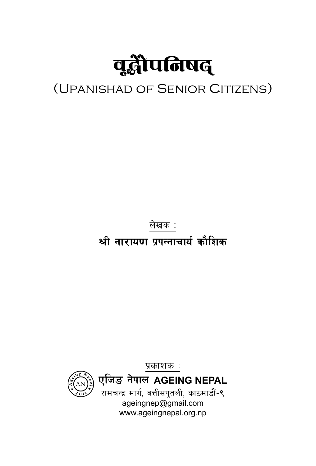

#### (UPANISHAD OF SENIOR CITIZENS)

लेखक :

श्री नारायण पुपन्नाचार्य कौशिक

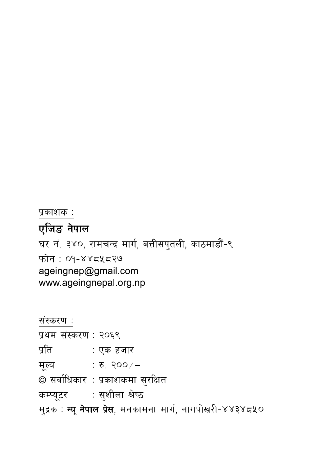संस्करण : प्रथम संस्करण : २०६९ प्रति ः एक हजार मूल्य : रु. २००/ $-$ © सर्वाधिकार : प्रकाशकमा सुरक्षित कम्प्यूटर : सुशीला श्रेष्ठ मुद्रक : **न्यू नेपाल प्रेस**, मनकामना मार्ग, नागपोखरी-४४३४८५०

www.ageingnepal.org.np

एजिङ नेपाल घर नं. ३४०, रामचन्द्र मार्ग, बत्तीसपुतली, काठमाडौं-९ फोन : ०१-४४८५८२७ ageingnep@gmail.com

प्रकाशक :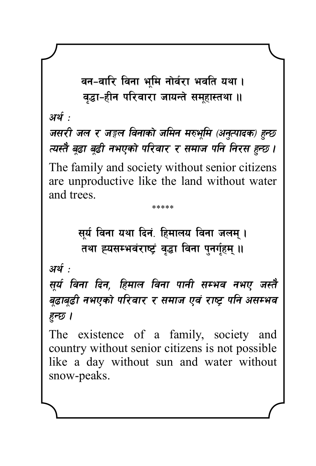वन-वारि विना भूमि नोर्वरा भवति यथा । वद्धा-हीन परिवारा जायन्ते समहास्तथा ॥

अर्थ .

जसरी जल र जङ्गल विनाको जमिन मरुभूमि (अनुत्पादक) हुन्छ त्यस्तै बढा बढी नभएको परिवार र समाज पनि निरस हुन्छ ।

The family and society without senior citizens are unproductive like the land without water and trees.

\*\*\*\*\*

सूर्य विना यथा दिनं. हिमालय विना जलम् ।

तथा ह्यसम्भवंराष्ट्रं वृद्धा विना पुनर्गुहम् ॥

अर्थ :

सूर्य विना दिन, हिमाल विना पानी सम्भव नभए जस्तै बूढाबूढी नभएको परिवार र समाज एवं राष्ट्र पनि असम्भव हुन्छ ।

The existence of a family, society and country without senior citizens is not possible like a day without sun and water without snow-peaks.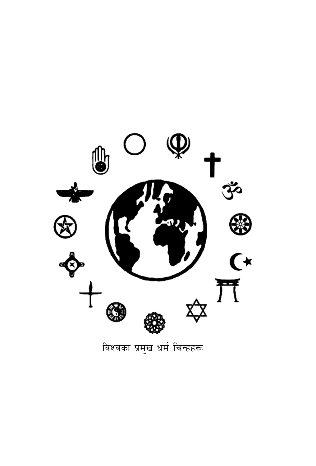

विश्वका प्रमुख धर्म चिन्हहरू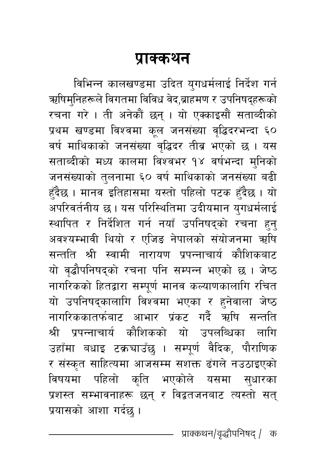#### प्राक्कथन

विभिन्न कालखण्डमा उदित युगधर्मलाई निर्देश गर्न ऋषिम्निहरूले विगतमा विविध वेद,ब्राहमण र उपनिषद्हरूको रचना गरे । ती अनेकौं छन् । यो एक्काइसौं सताब्दीको प्रथम खण्डमा विश्वमा कूल जनसंख्या वृद्धिदरभन्दा ६० वर्ष माथिकाको जनसंख्या वृद्धिदर तीव्र भएको छ । यस सताब्दीको मध्य कालमा विश्वभर १४ वर्षभन्दा मुनिको जनसंख्याको तुलनामा ६० वर्ष माथिकाको जनसंख्या बढी हँदैछ । मानव इतिहासमा यस्तो पहिलो पटक हँदैछ । यो अपरिवर्तनीय छ । यस परिस्थितिमा उदीयमान युगधर्मलाई स्थापित र निर्देशित गर्न नयाँ उपनिषद्को रचना हन् अवश्यम्भावी थियो र एजिङ नेपालको संयोजनमा ऋषि सन्तति श्री स्वामी नारायण प्रपन्नाचार्य कौशिकबाट यो वृद्धौपनिषद्को रचना पनि सम्पन्न भएको छ । जेष्ठ नागरिकको हितद्वारा सम्पूर्ण मानव कल्याणकालागि रचित यो उपनिषद्कालागि विश्वमा भएका र हनेवाला जेष्ठ नागरिककातर्फबाट आभार प्रंकट गर्दै ऋषि सन्तति श्री प्रपन्नाचार्य कौशिकको यो उपलब्धिका लागि उहाँमा बधाइ टक्रचाउँछु । सम्पूर्ण वैदिक, पौराणिक र संस्कृत साहित्यमा आजसम्म सशक्त ढंगले नउठाइएको विषयमा पहिलो कृति भएकोले यसमा सुधारका प्रशस्त सम्भावनाहरू छन् र विद्वतजनबाट त्यस्तो सत् प्रयासको आशा गर्दछ ।

प्राक्कथन/वृद्धौपनिषद् / क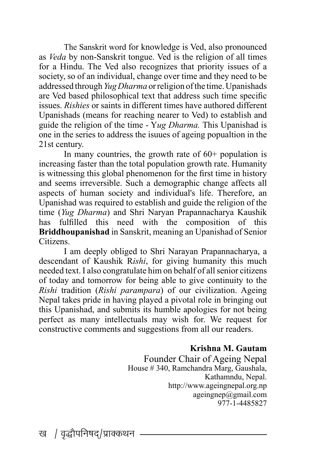The Sanskrit word for knowledge is Ved, also pronounced as *Veda* by non-Sanskrit tongue. Ved is the religion of all times for a Hindu. The Ved also recognizes that priority issues of a society, so of an individual, change over time and they need to be addressed through *Yug Dharma* or religion of the time. Upanishads are Ved based philosophical text that address such time specific issues. *Rishies* or saints in different times have authored different Upanishads (means for reaching nearer to Ved) to establish and guide the religion of the time - Y*ug Dharma.* This Upanishad is one in the series to address the isuues of ageing popualtion in the 21st century.

In many countries, the growth rate of  $60+$  population is increasing faster than the total population growth rate. Humanity is witnessing this global phenomenon for the first time in history and seems irreversible. Such a demographic change affects all aspects of human society and individual's life. Therefore, an Upanishad was required to establish and guide the religion of the time (*Yug Dharma*) and Shri Naryan Prapannacharya Kaushik has fulfilled this need with the composition of this **Briddhoupanishad** in Sanskrit, meaning an Upanishad of Senior Citizens.

 I am deeply obliged to Shri Narayan Prapannacharya, a descendant of Kaushik R*ishi*, for giving humanity this much needed text. I also congratulate him on behalf of all senior citizens of today and tomorrow for being able to give continuity to the *Rishi* tradition (*Rishi parampara*) of our civilization. Ageing Nepal takes pride in having played a pivotal role in bringing out this Upanishad, and submits its humble apologies for not being perfect as many intellectuals may wish for. We request for constructive comments and suggestions from all our readers.

#### **Krishna M. Gautam**

Founder Chair of Ageing Nepal House # 340, Ramchandra Marg, Gaushala, Kathamndu, Nepal. http://www.ageingnepal.org.np ageingnep@gmail.com 977-1-4485827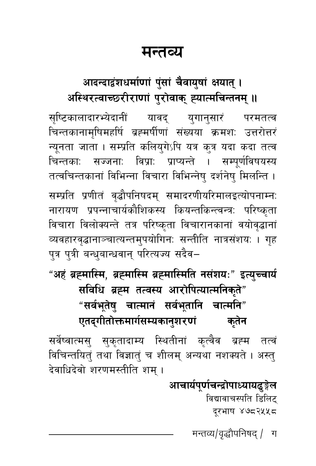#### मन्तव्य

#### आदन्दादृंशधर्माणां पुंसां चैवायुषां क्षयात् । अस्थिरत्वाच्छरीराणां पुरोवाक् ह्यात्मचिन्तनम् ॥

सृष्टिकालादारभ्येदानीं यावद् युगानुसारं परमतत्व चिन्तकानामृषिमहर्षि ब्रह्मर्षीणां संख्यया क्रमशः उत्तरोत्तरं न्यूनता जाता । सम्प्रति कलियुगेऽपि यत्र कुत्र यदा कदा तत्व चिन्तकाः सज्जनाः विप्राः प्राप्यन्ते । सम्पर्णविषयस्य तत्वचिन्तकानां विभिन्ना विचारा विभिन्नेषु दर्शनेषु मिलन्ति । सम्प्रति प्रणीतं वृद्धौपनिषदम् समादरणीयरिमालइत्योपनाम्नः नारायण प्रपन्नाचार्यकौशिकस्य कियन्तकिन्त्वन्त्र: परिष्कृता विचारा विलोक्यन्ते तत्र परिष्कृता विचारानकानां वयोवृद्धानां व्यवहारवृद्धानाञ्चात्यन्तमुपयोगिनः सन्तीति नात्रसंशयः । गृह पुत्र पुत्री बन्धुबान्धवान् परित्यज्य सदैव–

"अहं ब्रह्मास्मि, ब्रह्मास्मि ब्रह्मास्मिति नसंशयः" इत्युच्चार्य सविधि ब्रह्म तत्वस्य आरोपित्यात्मनिकुते"

"सर्वभूतेषु चात्मानं सर्वभूतानि चात्मनि"

एतद्गीतोक्तमार्गसम्यकानुशरणं कतेन

सर्वेष्वात्मसु सुकृतादाम्य स्थितीनां कृत्वैव ब्रह्म तत्वं विचिन्तयित्ं तथा विज्ञात्ं च शीलम् अन्यथा नशक्यते । अस्त् देवाधिदेवो शरणमस्तीति शम् ।

> आचार्यपर्णचन्द्रोपाध्यायढङ्गेल विद्यावाचस्पति डिलिट् दूरभाष ४७८२५५८

> > मन्तव्य/वृद्धौपनिषद् / ग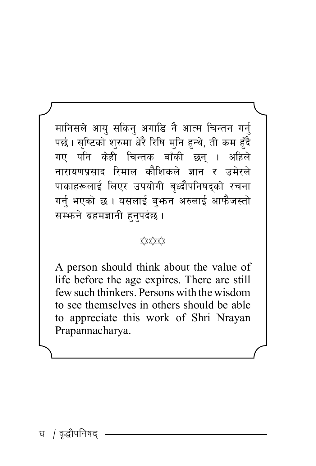मानिसले आयु सकिन् अगाडि नै आत्म चिन्तन गर्न् पर्छ। सृष्टिको शुरुमा धेरै रिषि मुनि हुन्थे, ती कम हुँदै गए पनि केही चिन्तक बाँकी छन । अहिले नारायणप्रसाद रिमाल कौशिकले ज्ञान र उमेरले पाकाहरूलाई लिएर उपयोगी बृध्दौपनिषद्को रचना गर्नु भएको छ । यसलाई ब्फन अरुलाई आफैजस्तो सम्भने ब्रहमज्ञानी हुनुपर्दछ ।

#### ☆☆☆☆

A person should think about the value of life before the age expires. There are still few such thinkers. Persons with the wisdom to see themselves in others should be able to appreciate this work of Shri Nrayan Prapannacharya.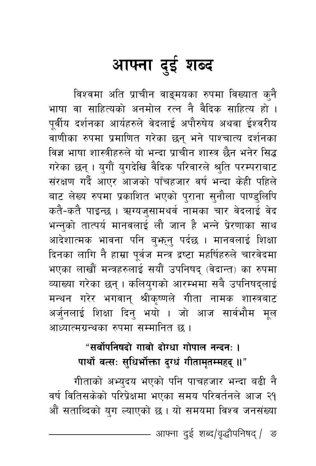## आफ्ना दुई शब्द

विश्वमा अति प्राचीन वाङ्मयका रुपमा विख्यात क्नै भाषा वा साहित्यको अनमोल रत्न नै वैदिक साहित्य हो । पूर्वीय दर्शनका आर्यहरुले वेदलाई अपौरुषेय अथवा ईश्वरीय वाणीका रुपमा प्रमाणित गरेका छन् भने पाश्चात्य दर्शनका विज्ञ भाषा शास्त्रीहरुले यो भन्दा प्राचीन शास्त्र छैन भनेर सिद्ध गरेका छन् । युगौं युगदेखि वैदिक परिवारले श्रुति परम्पराबाट संरक्षण गर्दै आएर आजको पाँचहजार वर्ष भन्दा केही पहिले बाट लेख्य रुपमा प्रकाशित भएको पुराना सुनौला पाण्डुलिपि कतै-कतै पाइन्छ । ऋग्यजुसामथर्व नामका चार वेदलाई वेद भन्नुको तात्पर्य मानवलाई लौ जान है भन्ने प्रेरणाका साथ आदेशात्मक भावना पनि बुभ्तनु पर्दछ । मानवलाई शिक्षा दिनका लागि नै हाम्रा पूर्वज मन्त्र द्रष्टा महर्षिहरुले चारवेदमा भएका लाखौं मन्त्रहरुलाई सयौं उपनिषद् (वेदान्त) का रुपमा व्याख्या गरेका छन् । कलियुगको आरम्भमा सबै उपनिषद्लाई मन्थन गरेर भगवान् श्रीकृष्णले गीता नामक शास्त्रबाट अर्जुनलाई शिक्षा दिन् भयो । जो आज सार्वभौम मूल आध्यात्मग्रन्थका रुपमा सम्मानित छ ।

#### "सर्वोपनिषदो गावो दोग्धा गोपाल नन्दन: । पार्थो वत्सः सुधिर्भोक्ता दुग्धं गीतामृतम्महद् ॥"

गीताको अभ्यदय भएको पनि पाचहजार भन्दा बढी नै वर्ष वितिसकेको परिप्रेक्षमा भएका समय परिवर्तनले आज २१ औं सताब्दिको युग ल्याएको छ। यो समयमा विश्व जनसंख्या

आफ्ना दुई शब्द/वृद्धौपनिषद् / ङ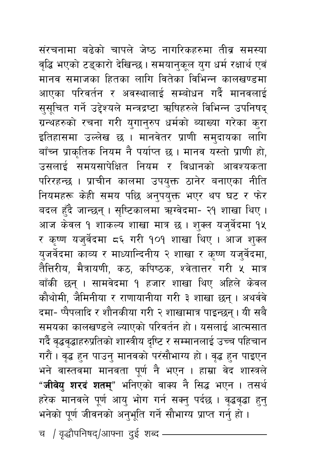संरचनामा बढेको चापले जेष्ठ नागरिकहरुमा तीव्र समस्या वृद्धि भएको टड्कारो देखिन्छ । समयानुकूल युग धर्म रक्षार्थ एवं मानव समाजका हितका लागि वितेका विभिन्न कालखण्डमा आएका परिवर्तन र अवस्थालाई सम्बोधन गर्दै मानवलाई सुसूचित गर्ने उद्देश्यले मन्त्रद्रष्टा ऋषिहरुले विभिन्न उपनिषद् ग्रन्थहरुको रचना गरी युगान्रुप धर्मको ब्याख्या गरेका कुरा इतिहासमा उल्लेख छ । मानवेतर प्राणी समुदायका लागि बाँच्न प्राकृतिक नियम नै पर्याप्त छ। मानव यस्तो प्राणी हो, उसलाई समयसापेक्षित नियम र विधानको आवश्यकता परिरहन्छ । प्राचीन कालमा उपयुक्त ठानेर बनाएका नीति नियमहरू केही समय पछि अनुपयुक्त भएर थप घट र फेर बदल हँदै जान्छन् । सृष्टिकालमा ऋग्वेदमा- २१ शाखा थिए । आज केवल १ शाकल्य शाखा मात्र छ । शुक्ल यजुर्वेदमा १५ र कृष्ण यजुर्वेदमा ८६ गरी १०१ शाखा थिए । आज शुक्ल युजर्वेदमा काव्य र माध्यान्दिनीय २ शाखा र कृष्ण यजुर्वेदमा, तैत्तिरीय, मैत्रायणी, कठ, कपिष्ठक, श्वेतात्तर गरी ५ मात्र बाँकी छन् । सामवेदमा १ हजार शाखा थिए अहिले केवल कौथोमी, जैमिनीया र राणायानीया गरी ३ शाखा छन् । अथर्ववे दमा- प्पैपलादि र शौनकीया गरी २ शाखामात्र पाइन्छन् । यी सबै समयका कालखण्डले ल्याएको परिवर्तन हो। यसलाई आत्मसात गर्दै वृद्धवृद्धाहरुप्रतिको शास्त्रीय दृष्टि र सम्मानलाई उच्च पहिचान गरौं । वृद्ध हुन पाउनु मानवको परंसौभाग्य हो । वृद्ध हुन पाइएन भने वास्तवमा मानवता पूर्ण नै भएन । हाम्रा वेद शास्त्रले "**जीवेयु शरदं शतम्**" भनिएको वाक्य नै सिद्ध भएन । तसर्थ हरेक मानवले पूर्ण आयु भोग गर्न सक्नु पर्दछ । वृद्धवृद्धा हुनु भनेको पूर्ण जीवनको अनुभूति गर्ने सौभाग्य प्राप्त गर्नु हो ।

च / वृद्धौपनिषद्/आफ्ना दुई शब्द -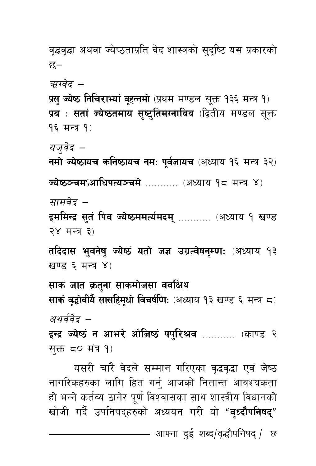वृद्धवृद्धा अथवा ज्येष्ठताप्रति वेद शास्त्रको सुदृष्टि यस प्रकारको छ–

ऋग्वेद –

प्रसु ज्येष्ठ निचिराभ्यां वृहन्नमो (प्रथम मण्डल सूक्त १३६ मन्त्र १) प्रव**ः सतां ज्येष्ठतमाय सुष्टुतिमग्नाविव** (द्वितीय मण्डल सूक्त १६ मन्त्र १)

यजर्वेद –

नमो ज्येष्ठायच कनिष्ठायच नमः पूर्वजायच (अध्याय १६ मन्त्र ३२)

**ज्येष्ठञ्चमऽआधिपत्यञ्चमे** .......... (अध्याय १८ मन्त्र ४)

सामवेद –

इममिन्द्र सुतं पिव ज्येष्ठममर्त्यमदम् ........... (अध्याय १ खण्ड २४ मन्त्र ३)

तदिदास भुवनेषु ज्येष्ठं यतो जज्ञ उग्रत्वेषनुम्णः (अध्याय १३ खण्ड ६ मन्त्र ४)

साकं जात क्रतुना साकमोजसा ववक्षिथ साकं वृद्धोवीयेँ सासहिमृधो विचर्षणि: (अध्याय १३ खण्ड ६ मन्त्र ८) अथर्ववेद –

इन्द्र ज्येष्ठं न आभरे ओजिष्ठं पपुरिश्रव ........... (काण्ड २ सुक्त ८० मंत्र १)

यसरी चारै वेदले सम्मान गरिएका वृद्धवृद्धा एवं जेष्ठ नागरिकहरुका लागि हित गर्नु आजको नितान्त आवश्यकता हो भन्ने कर्तव्य ठानेर पूर्ण विश्वासका साथ शास्त्रीय विधानको खोजी गर्दै उपनिषद्हरुको अध्ययन गरी यो "वृध्दौपनिषद्"

आफ्ना दुई शब्द/वृद्धौपनिषद् / छ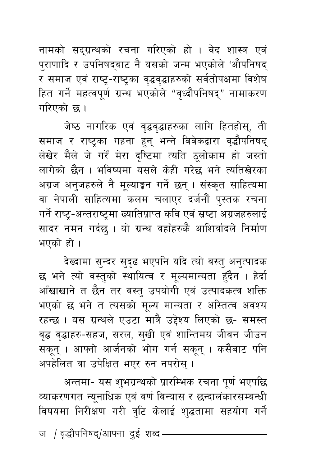नामको सद्ग्रन्थको रचना गरिएको हो । वेद शास्त्र एवं पुराणादि र उपनिषद्बाट नै यसको जन्म भएकोले 'औपनिषद् र समाज एवं राष्ट्र-राष्ट्रका वृद्धवृद्धाहरुको सर्वतोपक्षमा विशेष हित गर्ने महत्वपूर्ण ग्रन्थ भएकोले "वृध्दौपनिषद्" नामाकरण गरिएको छ।

जेष्ठ नागरिक एवं वृद्धवृद्धाहरुका लागि हितहोस्, ती समाज र राष्ट्रका गहना हुन् भन्ने विवेकद्वारा वृद्धौपनिषद् लेखेर मैले जे गरें मेरा दृष्टिमा त्यति ठूलोकाम हो जस्तो लागेको छैन । भविष्यमा यसले केही गरेछ भने त्यतिखेरका अग्रज अनुजहरुले नै मूल्याङ्कन गर्ने छन् । संस्कृत साहित्यमा वा नेपाली साहित्यमा कलम चलाएर दर्जनौं पुस्तक रचना गर्ने राष्ट्र-अन्तराष्ट्रमा ख्यातिप्राप्त कवि एवं स्रष्टा अग्रजहरुलाई सादर नमन गर्दछ । यो ग्रन्थ वहाँहरुकै आशिर्वादले निर्माण भएको हो ।

देख्दामा सुन्दर सुदृढ भएपनि यदि त्यो वस्तु अनुत्पादक छ भने त्यो वस्तुको स्थायित्व र मूल्यमान्यता हुँदैन । हेर्दा आँखाखाने त छैन तर वस्तु उपयोगी एवं उत्पादकत्व शक्ति भएको छ भने त त्यसको मूल्य मान्यता र अस्तित्व अवश्य रहन्छ। यस ग्रन्थले एउटा मात्रै उद्देश्य लिएको छ- समस्त वृद्ध वृद्धाहरु-सहज, सरल, सुखी एवं शान्तिमय जीवन जीउन सकून् । आफ्नो आर्जनको भोग गर्न सकून् । कसैबाट पनि अपहेलित वा उपेक्षित भएर रुन नपरोस् ।

अन्तमा- यस शुभग्रन्थको प्रारम्भिक रचना पूर्ण भएपछि व्याकरणगत न्यूनाधिक एवं वर्ण विन्यास र छन्दालंकारसम्बन्धी विषयमा निरीक्षण गरी त्रुटि केलाई शुद्धतामा सहयोग गर्ने ज / वृद्धौपनिषद्/आफ्ना दुई शब्द –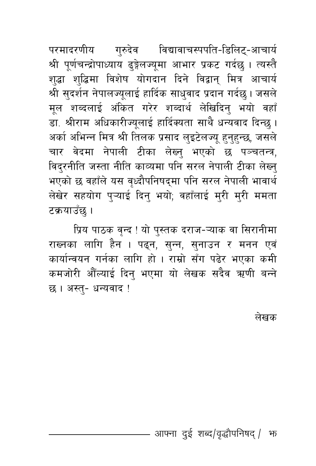परमादरणीय गुरुदेव विद्यावाचस्पपति-डिलिट्-आचार्य श्री पूर्णचन्द्रोपाध्याय ढ्ङ्गेलज्यूमा आभार प्रकट गर्दछ । त्यस्तै शुद्धा शुद्धिमा विशेष योगदान दिने विद्वान् मित्र आचार्य श्री सुदर्शन नेपालज्यूलाई हार्दिक साधुवाद प्रदान गर्दछ । जसले मूल शब्दलाई अंकित गरेर शब्दार्थ लेखिदिन् भयो वहाँ डा. श्रीराम अधिकारीज्यूलाई हार्दिक्यता साथै धन्यवाद दिन्छ । अर्का अभिन्न मित्र श्री तिलक प्रसाद लुइटेलज्यू हुनुहुन्छ, जसले चार वेदमा नेपाली टीका लेख्नु भएको छ पञ्चतन्त्र, विदुरनीति जस्ता नीति काव्यमा पनि सरल नेपाली टीका लेख्नु भएको छ वहाँले यस वृध्दौपनिषद्मा पनि सरल नेपाली भावार्थ लेखेर सहयोग पुऱ्याई दिनु भयो; वहाँलाई मुरी मुरी ममता टक्रयाउँछ ।

प्रिय पाठक वृन्द ! यो पुस्तक दराज-ऱ्याक वा सिरानीमा राख्नका लागि हैन । पढ्न, सुन्न, सुनाउन र मनन एवं कार्यान्वयन गर्नका लागि हो । राम्रो सँग पढेर भएका कमी कमजोरी औँल्याई दिनु भएमा यो लेखक सदैव ऋणी बन्ने छ। अस्त्- धन्यवाद!

लेखक

#### आफ्ना दुई शब्द/वृद्धौपनिषद् / फ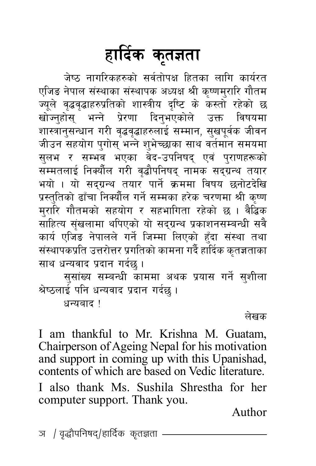# हार्दिक कृतज्ञता

जेष्ठ नागरिकहरुको सर्वतोपक्ष हितका लागि कार्यरत एजिङ नेपाल संस्थाका संस्थापक अध्यक्ष श्री कृष्णमुरारि गौतम ज्यूले वृद्धवृद्धाहरुप्रतिको शास्त्रीय दृष्टि के कस्तो रहेको छ खोज्नुहोस् भन्ने प्रेरणा दिनुभएकोले उक्त विषयमा शास्त्रानुसन्धान गरी वृद्धवृद्धाहरुलाई सम्मान, सुखपूर्वक जीवन जीउन सहयोग पुगोस् भन्ने शुभेच्छाका साथ वर्तमान समयमा सुलभ र सम्भव भएका वेद-उपनिषद् एवं पुराणहरूको सम्मतलाई निक्यौंल गरी वृद्धौपनिषद् नामक सदग्रन्थ तयार भयो । यो सदग्रन्थ तयार पार्ने क्रममा विषय छनोटदेखि प्रस्तुतिको ढाँचा निक्यौँल गर्ने सम्मका हरेक चरणमा श्री कृष्ण मुरारि गौतमको सहयोग र सहभागिता रहेको छ । वैद्धिक साहित्य संखलामा थपिएको यो सद्ग्रन्थ प्रकाशनसम्बन्धी सवै कार्य एजिंड नेपालले गर्ने जिम्मा लिएको हुँदा संस्था तथा संस्थापकप्रति उत्तरोत्तर प्रगतिको कामना गर्दै हार्दिक कृतज्ञताका साथ धन्यवाद प्रदान गर्दछु ।

सुसांख्य सम्बन्धी काममा अथक प्रयास गर्ने सुशीला श्रेष्ठलाई पनि धन्यवाद प्रदान गर्दछ ।

धन्यबाद ।

लेखक

I am thankful to Mr. Krishna M. Guatam. Chairperson of Ageing Nepal for his motivation and support in coming up with this Upanishad, contents of which are based on Vedic literature. I also thank Ms. Sushila Shrestha for her computer support. Thank you.

Author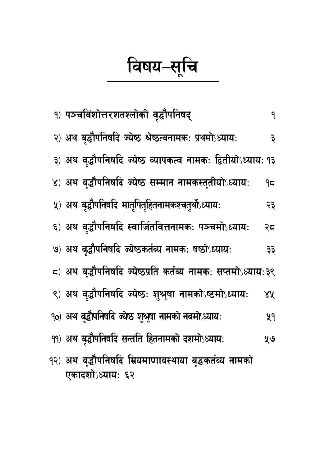विषय–सूचि

|                  |  | १) पञ्चविंशोत्तरशतश्लोकी वृद्धौपनिषद्                         | ٩  |
|------------------|--|---------------------------------------------------------------|----|
|                  |  | २) अथ वृद्धौपनिषदि ज्येष्ठ श्रेष्ठत्वनामक: प्रथमोऽध्याय:      | ३  |
|                  |  | ३) अथ वृद्धौपनिषदि ज्येष्ठ व्यापकत्व नामकः द्वितीयोऽध्यायः १३ |    |
|                  |  | ४) अथ वृद्धौपनिषदि ज्येष्ठ सम्मान नामकस्तुतीयोऽध्यायः         | ۹ς |
|                  |  | ५) अथ वृद्धौपनिषदि मातृपितृहितनामकश्चतुर्थोध्यायः             | २३ |
|                  |  | ६) अथ वृद्धौपनिषदि स्वार्जितवित्तनामकः पञ्चमोऽध्यायः          | २८ |
|                  |  | ७) अथ वृद्धौपनिषदि ज्येष्ठकर्तव्य नामकः षष्ठोऽध्यायः          | ३३ |
|                  |  | ८) अथ वृद्धौपनिषदि ज्येष्ठप्रति कर्तव्य नामकः सप्तमोऽध्यायः३९ |    |
|                  |  | ९) अथ वृद्धौपनिषदि ज्येष्ठः शुश्रूषा नामकोऽष्टमोऽध्यायः       | 8X |
|                  |  | १०) अथ बृद्धौपनिषदि ज्येष्ठ शुश्रूषा नामको नवमोध्यायः         | ५१ |
|                  |  | ११) अथ वृद्धौपनिषदि सन्तति हितनामको दशमोऽध्यायः               | ५७ |
|                  |  | १२) अथ वृद्धौपनिषदि म्रियमाणावस्थायां बृद्धकर्तव्य नामको      |    |
| एकादशोऽध्यायः ६२ |  |                                                               |    |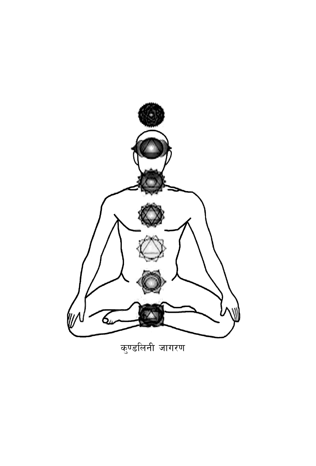

कुण्डलिनी जागरण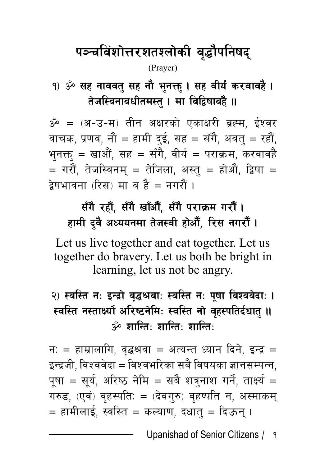## पञ्चविंशोत्तरशतश्लोकी वृद्धौपनिषद्

#### (Prayer)

<u>१) ॐ सह नाववतु सह नौ भुनक्तु । सह वीर्यं करवावहै ।</u> तेजस्विनावधीतमस्तु । मा विद्विषावहै **॥** 

 $\mathring{\mathcal{S}} = 0$  =  $(3 - 3 - 4)$  तीन अक्षरको एकाक्षरी व्रह्म, ईश्वर वाचक, प्रणव, नौ = हामी दुई, सह = सँगै, अवतु = रहौं, भुनक्तु = खाऔं, सह = सँगै, वीर्य = पराक्रम, करवावहै  $\bar{z} = \bar{z}$ गरौं, तेजस्विनम् = तेजिला, अस्त् = होऔं, द्विषा = द्वेषभावना (रिस) मा व है = नगरौं ।

### सँगै रहौं, सँगै खाँऔँ, सँगै पराक्रम गरौं। हामी दवै अध्ययनमा तेजस्वी होऔँ, रिस नगरौँ ।

Let us live together and eat together. Let us together do bravery. Let us both be bright in learning, let us not be angry.

#### २) स्वस्ति नः इन्द्रो वृद्धश्रवाः स्वस्ति नः पुषा विश्ववेदाः **।** स्वस्ति नस्तार्क्ष्यो अरिष्टनेमिः स्वस्ति नो वहस्पतिर्दधात ।। <mark>ॐ ग्रान्ति∙ ग्रान्ति∙ ग्रान्ति∙</mark>

न: = हाम्रालागि, वृद्धश्रवा = अत्यन्त ध्यान दिने, इन्द्र = इन्द्रजी, विश्ववेदा = विश्वभरिका सबै विषयका ज्ञानसम्पन्न, पूषा = सूर्य, अरिष्ठ नेमि = सबै शत्रुनाश गर्ने, तार्क्ष्य = गरुड, (एवं) वृहस्पति: = (देवगुरु) वृहष्पति न, अस्माकम् = हामीलाई, स्वस्ति = कल्याण, दधात् = दिऊन् ।

Upanishad of Senior Citizens / 1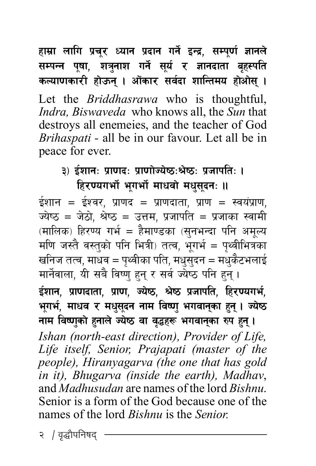हाम्रा लागि प्रचूर ध्यान प्रदान गर्ने इन्द्र, सम्पूर्ण ज्ञानले सम्पन्न पूषा, शत्रुनाश गर्ने सूर्य र ज्ञानदाता बृहस्पति कल्याणकारी होऊन् । ओंकार सर्वदा शान्तिमय होओस् । Let the *Briddhasrawa* who is thoughtful, *Indra, Biswaveda* who knows all, the *Sun* that destroys all enemeies, and the teacher of God Brihaspati - all be in our favour. Let all be in peace for ever.

#### ३) ईशानः प्राणदः प्राणोज्येष्ठःश्रेष्ठः प्रजापतिः । हिरण्यगर्भो भगर्भो माधवो मधुसुदन: ॥

ईशान = ईश्वर, प्राणद = प्राणदाता, प्राण = स्वयंप्राण, ज्येष्ठ = जेठो, श्रेष्ठ = उत्तम, प्रजापति = प्रजाका स्वामी (मालिक) हिरण्य गर्भ = हैमाण्डका (सुनभन्दा पनि अमृत्य मणि जस्तै वस्तुको पनि भित्री) तत्व, भूगर्भ = पृथ्वीभित्रका खनिज तत्व, माधव = पृथ्वीका पति, मधुसुदन = मधुकैटभलाई मार्नेवाला, यी सबै विष्णु हुन् र सर्व ज्येष्ठ पनि हुन्।

ईशान, प्राणदाता, प्राण, ज्येष्ठ, श्रेष्ठ प्रजापति, हिरण्यगर्भ, भूगर्भ, माधव र मधुसूदन नाम विष्णु भगवानुका हुन् । ज्येष्ठ नाम विष्णुको हुनाले ज्येष्ठ वा वृद्धहरू भगवानुका रुप हुन्। Ishan (north-east direction), Provider of Life, Life itself, Senior, Prajapati (master of the people), Hiranyagarva (the one that has gold

in it), Bhugarva (inside the earth), Madhav, and *Madhusudan* are names of the lord *Bishnu*. Senior is a form of the God because one of the names of the lord *Bishnu* is the *Senior* 

२ / वृद्धौपनिषद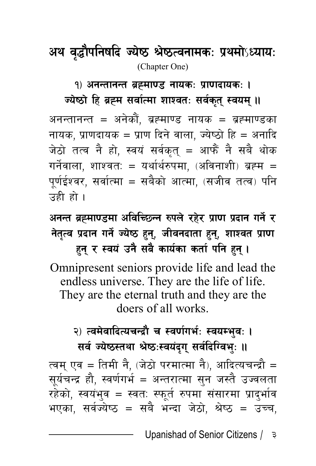## **cy j4f [ klgiflb Ho } i7 > ] i7TjgfdsM k ] ydf |** ˜**]WofoM** (Chapter One)

<u>१) अनन्तानन्त ब्रह्माण्ड नायकः प्राणदायकः ।</u>

ज्येष्ठो हि ब्रह्म सर्वात्मा शाश्वतः सर्वकृत् स्वयम् **॥** 

अनन्तानन्त = अनेकौं, ब्रह्माण्ड नायक = ब्रह्माण्डका नायक, प्राणदायक = प्राण दिने वाला, ज्येष्ठो हि = अनादि जेठो तत्व नै हो, स्वयं सर्वकत् = आफैं नै सबै थोक गर्नेवाला, शाश्वतः = यर्थार्थरुपमा, (अविनाशी) ब्रह्म = पूर्णईश्वर, सर्वात्मा = सबैको आत्मा, (सजीव तत्व) पनि उही हो ।

**cgGt aÅdf08df cljlR5Gg ?kn | /x ] / k ] f0f k | bfg ug | / {] नेतृत्व प्रदान गर्ने ज्येष्ठ हुन्, जीवनदाता हुन्, शाश्वत प्राण** हन् र स्वयं उनै सबै कार्यका कर्ता पनि **हन्** ।

Omnipresent seniors provide life and lead the endless universe. They are the life of life. They are the eternal truth and they are the doers of all works.

#### २) त्वमेवादित्यचन्द्रौ च स्वर्णगर्भ: स्वयम्भव: । **सर्व ज्येष्ठस्तथा श्रेष्ठःस्वयंदृग् सर्वदिग्विभुः ॥**

त्वम् एव = तिमी नै, (जेठो परमात्मा नै), आदित्यचन्द्रौ = सूर्यचन्द्र हौ, स्वर्णगर्भ = अन्तरात्मा सुन जस्तै उज्वलता रहेको, स्वयंभुव = स्वतः स्फूर्त रुपमा संसारमा प्रादुर्भाव भएका, सर्वज्येष्ठ = सबै भन्दा जेठो, श्रेष्ठ = उच्च,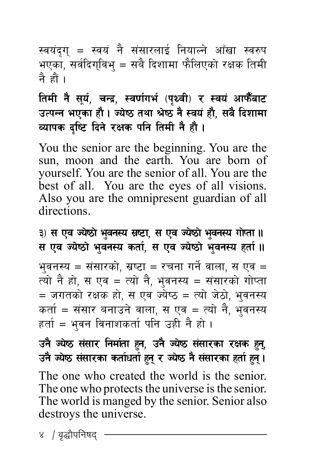स्वयंदृग् = स्वयं नै संसारलाई नियाल्ने आँखा स्वरुप भएका, सर्वदिगुविभ् = सबै दिशामा फैलिएको रक्षक तिमी नै हों ।

तिमी नै सूर्य, चन्द्र, स्वर्णगर्भ (पृथ्वी) र स्वयं आफैँबाट उत्पन्न भएका हौ। ज्येष्ठ तथा श्रेष्ठ नै स्वयं हौ, सबै दिशामा व्यापक दृष्टि दिने रक्षक पनि तिमी नै ह<u>ौ</u> ।

You the senior are the beginning. You are the sun, moon and the earth. You are born of yourself. You are the senior of all. You are the best of all. You are the eyes of all visions. Also you are the omnipresent guardian of all directions.

**#\_ ; Pj Hoi7f ] e] jg:o ; ' i6f, ; Pj Ho | i7f ] e] jg:o uf ' Ktf .. ] ; Pj Hoi7f ] e] jg:o stf ' , ; Pj Ho { i7f ] e] jg:o xtf ' .. {** भवनस्य = संसारको. स्रष्टा = रचना गर्ने वाला. स एव = त्यो नै हो, स एव = त्यो नै, भुवनस्य = संसारको गोप्ता = जगतको रक्षक हो, स एव ज्येष्ठ = त्यो जेठो, भ्**वनस्य** कर्ता = संसार बनाउने वाला, स एव = त्यो नै, भुवनस्य  $\bar{\epsilon}$ हर्ता = भवन विनाशकर्ता पनि उही नै हो।

**pg Ho } i7 ; ] ;f/ lgdf + tf x { g, pg ' Ho } i7 ; ] ;f/sf /Ifs x + g',\ pg Ho } i7 ; ] ;f/sf stf + wtf { x{ g' / Ho \ i7 g ] ;} ;f/sf xtf + x{ g' .\**

The one who created the world is the senior. The one who protects the universe is the senior. The world is manged by the senior. Senior also destroys the universe.

४ / वृद्धौपनिषद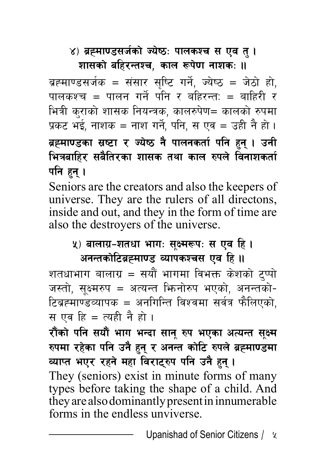#### ४) ब्रह्माण्डसर्जको ज्येष्ठः पालकश्च स एव त् **।** शासको बहिरन्तश्च, काल रूपेण नाशक: ।।

ब्रह्माण्डसर्जक = संसार सृष्टि गर्ने, ज्येष्ठ = जेठो हो, पालकश्च = पालन गर्ने पनि र बहिरन्त: = बाहिरी र भित्री कुराको शासक नियन्त्रक, कालरुपेण= कालको रुपमा प्रकट भई, नाशक = नाश गर्ने, पनि, स एव = उही नै हो । ब्रह्**माण्डका स्रष्टा र ज्येष्ठ नै पालनकर्ता प**नि हुन् । उनी भित्रबाहिर सबैतिरका शासक तथा काल रुपले विनाशकर्ता पनि हन् **।** 

Seniors are the creators and also the keepers of universe. They are the rulers of all directons, inside and out, and they in the form of time are also the destroyers of the universe.

#### <u>५</u>) बालाग्र–शतधा भागः सुक्ष्मरूपः स एव हि । अनन्तकोटिब्रह्माण्ड व्यापकश्चस एव हि **॥**

शतधाभाग बालाग्र = सयौं भागमा विभक्त केशको टुप्पो जस्तो, सक्ष्मरुप = अत्यन्त फिनोरुप भएको, अनन्तको-टिब्रह्माण्डव्यापक = अनगिन्ति विश्वमा सर्वत्र फैलिएको, स एव हि = त्यही नै हो ।

रौंको पनि सयौं भाग भन्दा सान् रुप भएका अत्यन्त सूक्ष्म रुपमा रहेका पनि उनै हुन् र अनन्त कोटि रुपले ब्रह्माण्डमा व्याप्त भएर रहने महा विराट्**रुप पनि उनै हुन्** ।

They (seniors) exist in minute forms of many types before taking the shape of a child. And they are also dominantly present in innumerable forms in the endless unviverse.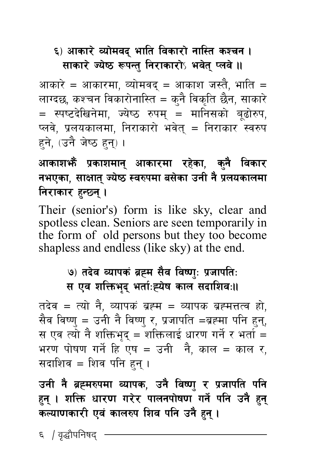#### ६) आकारे व्योमवद् भाति विकारो नास्ति कश्च**न** । **साकारे ज्येष्ठ रूपन्तु निराकारो**ऽ भवेत् प्लवे ॥

आकारे = आकारमा. व्योमवद = आकाश जस्तै. भाति = लाग्दछ, कश्चन विकारोनास्ति = कुनै विकृति छैन, साकारे = स्पष्टदेखिनेमा, ज्येष्ठ रुपम् = मानिसको बूढोरुप, प्लवे, प्रलयकालमा, निराकारो भवेत् = निराकार स्वरुप हने. (उनै जेष्ठ हन) ।

#### आकाश**भैं प्रकाशमान् आकारमा रहेका, कुनै विका**र **नभएका, साक्षात ज्येष्ठ स्वरुपमा बसेका उनी नै प्रलयकालमा निराकार हन्छ्न्** ।

Their (senior's) form is like sky, clear and spotless clean. Seniors are seen temporarily in the form of old persons but they too become shapless and endless (like sky) at the end.

#### **७) तदेव व्यापकं ब्रह्म सैव विष्णुः प्रजापतिः स** एव शक्तिभद भर्ताःह्येष काल सदाशिवः॥

तदेव = त्यो नै, व्यापकं ब्रह्म = व्यापक ब्रह्मत्तत्व हो, सैव विष्ण् = उनी नै विष्ण् र, प्रजापति =ब्रह्मा पनि हुन्, स एव त्यो नै शक्तिभद = शक्तिलाई धारण गर्ने र भर्ता = भरण पोषण गर्ने हि एष = उनी जै, काल = काल र, सदाशिव $i = \lceil 2 \rceil$  पनि हुन् ।

उनी नै ब्रह्मरुपमा व्यापक, उनै विष्णु र प्रजापति पनि हुन् । शक्ति धारण गरेर पालनपोषण<sup>ँ</sup> गर्ने पनि उनै हुन् कल्याणकारी एवं कालरुप शिव पनि उनै हुन् **।** 

६ *।* वद्धौपनिषद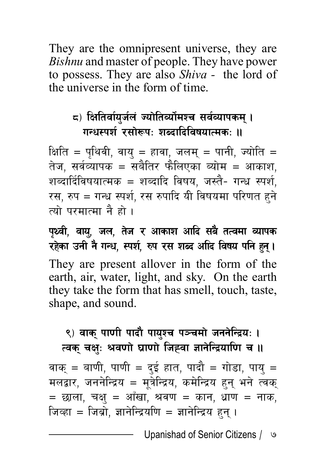They are the omnipresent universe, they are *Bishnu* and master of people. They have power to possess. They are also *Shiva -* the lord of the universe in the form of time.

#### **\*\_ lIfltjf{o'h{n+ Hof]ltJof{]dZr ;j{Jofksd\ .** गन्धस्पर्श रसोरूपः शब्दादिविषयात्मकः ॥

क्षिति = पथिवी, वाय = हावा, जलम् = पानी, ज्योति = तेज, सर्वव्यापक = सबैतिर फैलिएका ब्योम = आकाश, शब्दार्दिविषयात्मक = शब्दादि विषय, जस्तै- गन्ध स्पर्श, रस, रुप = गन्ध स्पर्श, रस रुपादि यी विषयमा परिणत हुने त्यो परमात्मा नै हो ।

**kYjL, jfo [ , hn, t ' h / cfsfz cflb ;a ] tTjdf Jofks }** रहेका उनी नै गन्ध, स्पर्श, रुप रस शब्द अदि विषय पनि हन्। They are present allover in the form of the earth, air, water, light, and sky. On the earth they take the form that has smell, touch, taste, shape, and sound.

#### ९) वाक पाणी पादौ पायश्च पञ्चमो जननेन्द्रिय: । त्वक् चक्षुः श्रवणो घ्राणो जिह्वा ज्ञानेन्द्रियाणि च **॥**

वाक् = बाणी, पाणी = दुई हात, पादौ = गोडा, पायु = मलद्वार, जननेन्द्रिय = मुत्रेन्द्रिय, कमेन्द्रिय हुनु भने त्वकु  $=$  छाला, चक्षु = आँखा, श्रवण = कान, धाण = नाक, जिव्हा = जिब्रो, ज्ञानेन्द्रियणि = ज्ञानेन्द्रिय हुन् ।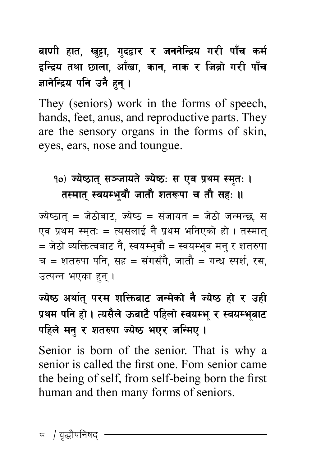बाणी हात, खुट्टा, गुदद्वार र जननेन्द्रिय गरी पाँच कर्म इन्द्रिय तथा छाला, आँखा, कान, नाक र जिब्रो गरी पाँच ज्ञानेन्द्रिय पनि उनै **हन** ।

They (seniors) work in the forms of speech, hands, feet, anus, and reproductive parts. They are the sensory organs in the forms of skin, eyes, ears, nose and toungue.

#### 10) ज्येष्ठात् सञ्जायते ज्येष्ठः स एव प्रथम स्मृतः । तस्मात् स्वयम्भवौ जातौ शतरूपा च तौ सहः ॥

ज्येष्ठात = जेठोबाट, ज्येष्ठ = संजायत = जेठो जन्मन्छ, स एव प्रथम स्मृत: = त्यसलाई नै प्रथम भनिएको हो । तस्मात् = जेठो व्यक्तित्वबाट नै, स्वयम्भुवौ = स्वयम्भुव मन् र शतरुपा च = शतरुपा पनि, सह = संगसँगै, जातौ = गन्ध स्पर्श, रस. उत्पन्न भएका हन ।

### ज्येष्ठ अर्थात परम शक्तिबाट जन्मेको नै ज्येष्ठ हो र उही प्रथम पनि हो । त्यसैले ऊबाटै पहिलो स्वयम्भु र स्वयम्भुबाट पहिले मन् र शतरुपा ज्येष्ठ भएर जन्मिए ।

Senior is born of the senior. That is why a senior is called the first one. Fom senior came the being of self, from self-being born the first human and then many forms of seniors.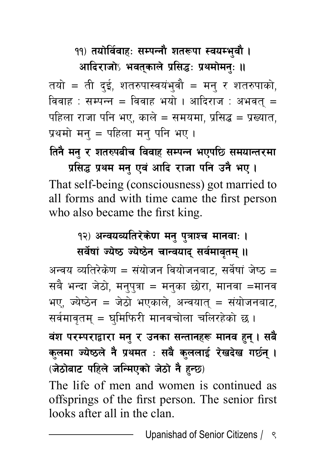<u>१</u>१) तयोर्विवाहः सम्पन्नौ शतरूपा स्वयम्भवौ ।

आदिराजो**ऽ भवतकाले प्रसिद्धः प्रथमोमनः** ॥ तयो = ती दुई, शतरुपास्वयंभ्वौ = मन् र शतरुपाको, विवाह : सम्पन्न = विवाह भयो । आदिराज : अभवत् = पहिला राजा पनि भए. काले = समयमा. प्रसिद्ध = प्रख्यात. प्रथमो मन् = पहिला मन् पनि भए ।

*तिनै मनु र शतरुपबीच विवाह सम्पन्न भएपछि समयान्तरमा* 

प्रसिद्ध प्रथम मनु एवं आदि राजा पनि उनै भए । That self-being (consciousness) got married to all forms and with time came the first person who also became the first king.

> <u>१२) अन्वयव्यतिरेकेण मनु पुत्राश्च मानवाः ।</u> **सर्वेषां ज्येष्ठ ज्येष्ठेन चान्वयाद् सर्वमावृतम् ॥**

अन्वय व्यतिरेकेण = संयोजन वियोजनबाट, सर्वेषां जेष्ठ = सबै भन्दा जेठो, मनुपुत्रा = मनुका छोरा, मानवा =मानव भए, ज्येष्ठेन = जेठो भएकाले, अन्वयात् = संयोजनबाट, सर्वमावृतम् = घुमिफिरी मानवचोला चलिरहेको छ।

<u>वंश परम्पराद्वारा मनु र उनका सन्तानहरू मानव हुन् । सबै</u> कुलमा ज्येष्ठले नै प्रथमत : सबै कुललाई रेखदेख गर्छन् । *(जेठोबाट पहिले जन्मिएको जेठो नै हुन्छ)* 

The life of men and women is continued as offsprings of the first person. The senior first looks after all in the clan.

Upanishad of Senior Citizens  $/ \sqrt{2}$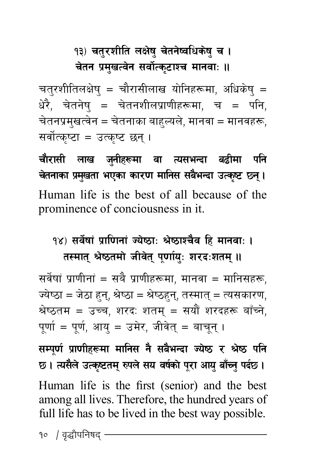## १३) चतुरशीति लक्षेषु चेतनेष्वधिकेषु च । चेतन प्रमखत्वेन सर्वोत्कटाश्च मानवाः ॥

चतुरशीतिलक्षेषु = चौरासीलाख योनिहरूमा, अधिकेषु = धेरै, चेतनेषु = चेतनशीलप्राणीहरूमा, च = पनि, चेतनप्रमुखत्वेन = चेतनाका बाहुल्यले, मानवा = मानवहरू, सर्वोत्कष्टा = उत्कष्ट छन ।

चौरासी लाख जुनीहरूमा वा त्यसभन्दा बढीमा पनि **rtgfsf k ] d| vtf ePsf sf/0f dflg; ;a ' eGbf pTs } i6 5g [ .\** Human life is the best of all because of the prominence of conciousness in it.

#### १४) सर्वेषां प्राणिनां ज्येष्ठाः श्रेष्ठाश्चैव हि मानवाः । तस्मात श्रेष्ठतमो जीवेत पर्णाय: शरद:शतम ।।

सर्वेषां प्राणीनां = सबै प्राणीहरूमा. मानवा = मानिसहरू. ज्येष्ठा = जेठा हुन्, श्रेष्ठा = श्रेष्ठहुन्, तस्मात् = त्यसकारण, श्रेष्ठतम = उच्च, शरदः शतम् = सयौं शरदहरू बाँच्ने, पर्णा = पर्ण, आय = उमेर, जीवेत् = बाचन् ।

**;Dk0f " k{ f0fLx¿df dflg; g | ;a } eGbf Ho } i7 / > ] i7 klg ] 5 . To;n} pTs ] i6td [ ?kn \ ;o jif ] sf { k] /f cfo " af ' Rg" kb ' 5 . {** Human life is the first (senior) and the best among all lives. Therefore, the hundred years of full life has to be lived in the best way possible.

१० *|* वृद्धौपनिषद<sup>्</sup>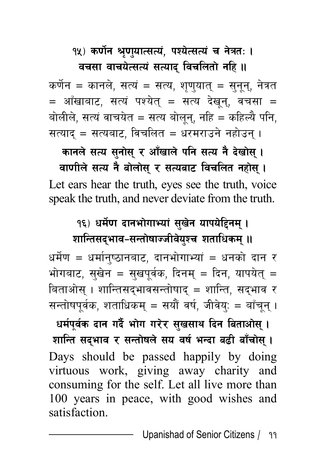#### १५) कर्णेन श्रृणुयात्सत्यं, पश्येत्सत्यं च नेत्रतः ।

#### वचसा वाचयेत्सत्यं सत्याद विचलितो **नहि** ॥

कर्णेन = कानले, सत्यं = सत्य, शृण्यात् = सुनून्, नेत्रत  $=$  आँखाबाट, सत्यं पश्येत् = सत्य देखन्, वचसा = बोलीले, सत्यं वाचयेत = सत्य बोलन्, नहि = कहिल्यै पनि, सत्याद् = सत्यबाट, विचलित = धरमराउने नहोउन् ।

कानले सत्य सनोस र आँखाले पनि सत्य नै देखोस ।

वाणीले सत्य नै बोलोस् र सत्यबाट विचलित नहोस् । Let ears hear the truth, eyes see the truth, voice speak the truth, and never deviate from the truth.

### १६) धर्मेण दानभोगाभ्यां सुखेन यापयेहिनम् । शान्तिसद्**भाव-सन्तोषाज्जीवेयुश्च शताधिकम्** ॥

धर्मेण = धर्मान्ष्ठानबाट, दानभोगाभ्यां = धनको दान र भोगबाट, सुखेन = सुखपूर्वक, दिनम् = दिन, यापयेत् = बिताओस् । शान्तिसद्भावसन्तोषाद् = शान्ति, सद्भाव र सन्तोषपूर्वक, शताधिकम् = सयौं वर्ष, जीवेय्: = बाँचून् ।

धर्मपूर्वक दान गर्दै भोग गरेर सुखसाथ दिन बिताओस् । शान्ति सद्भाव र सन्तोषले सय वर्ष भन्दा बढी बाँचोस् । Days should be passed happily by doing virtuous work, giving away charity and consuming for the self. Let all live more than 100 years in peace, with good wishes and satisfaction.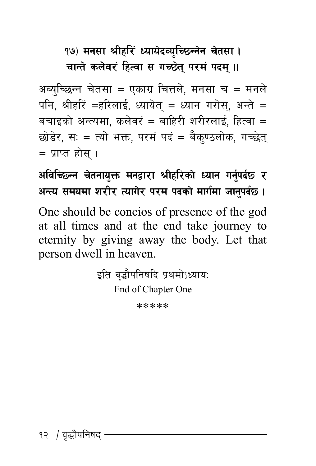#### <u>१७) मनसा श्रीहरिं ध्यायेदव्युच्छिन्नेन चेतसा ।</u> चान्ते कलेवरं हित्वा स गच्छेत परमं पदम **॥**

अव्यच्छिन्न चेतसा = एकाग्र चित्तले. मनसा च = मनले पनि, श्रीहरिं =हरिलाई, ध्यायेत् = ध्यान गरोस्, अन्ते = बचाइको अन्त्यमा, कलेवरं = बाहिरी शरीरलाई, हित्वा $=$ छोडेर, स: = त्यो भक्त, परमं पदं = बैकण्ठलोक, गच्छेत  $=$  प्राप्त होस ।

**cljlR5Gg rtgfo ] Qm dgåf/f >Lxl/sf ' Wofg ug ] kb{' 5 / { cGTo ;dodf z/L/ Tofu/ k/d kbsf ] dfu ] df hfg { kb' 5 . {**

One should be concios of presence of the god at all times and at the end take journey to eternity by giving away the body. Let that person dwell in heaven.

> इति वृद्धौपनिषदि प्रथमोऽध्यायः End of Chapter One

> > \*\*\*\*\*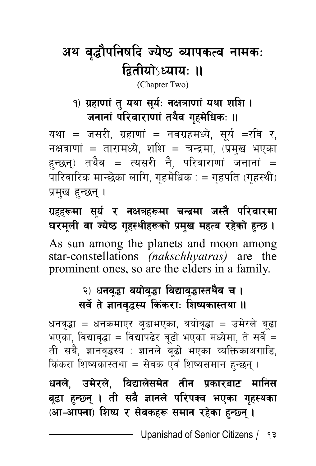## अथ वृद्धौपनिषदि ज्येष्ठ व्यापकत्व नामकः **द्वितीयोऽध्याय: ॥**

(Chapter Two)

#### <u>१) ग्रहाणां त यथा सर्यः नक्षत्राणां यथा शशि ।</u> जनानां परिवाराणां तथैव गृहमेधिकः **॥**

यथा = जसरी, ग्रहाणां = नवग्रहमध्ये, सूर्य =रवि र, नक्षत्राणां = तारामध्ये, शशि = चन्द्रमा, (प्रमुख भएका हन्छन्) तथैव = त्यसरी नै, परिवाराणां जनानां = पारिवारिक मान्छेका लागि, गहमेधिक $\,$ : = गहपति (गहस्थी) प्रमुख हुन्छन् ।

ग्रहहरूमा सूर्य र नक्षत्रहरूमा चन्द्रमा जस्तै परिवारमा घरमूली वा ज्येष्ठ गृहस्थीहरूको प्रमुख महत्व रहेको हुन्छ । As sun among the planets and moon among star-constellations *(nakschhyatras)* are the prominent ones, so are the elders in a family.

#### २) धनवुद्धा वयोवुद्धा विद्यावुद्धास्तथैव च । **सर्वे ते ज्ञानवृद्धस्य किंकराः शिष्यकास्तथा ।।**

धनवृद्धा = धनकमाएर बूढाभएका, वयोवृद्धा = उमेरले बूढा भएका, विद्यावृद्धा = विद्यापढेर बूढो भएका मध्येमा, ते सर्वे = ती सबै, ज्ञानवृद्धस्य : ज्ञानले बूढो भएका व्यक्तिकाअगाडि, किंकरा शिष्यकास्तथा = सेवक एवं शिष्यसमान हुन्छन् ।

धनले, उमेरले, विद्यालेसमेत तीन प्रकारबाट **मानिस** बढ़ा हुन्छन् । ती सबै ज्ञानले परिपक्व भएका ग<del>ु</del>हस्थका (आ-आफ्ना) शिष्य र सेवकहरू समान रहेका हन्छन् ।

Upanishad of Senior Citizens / १३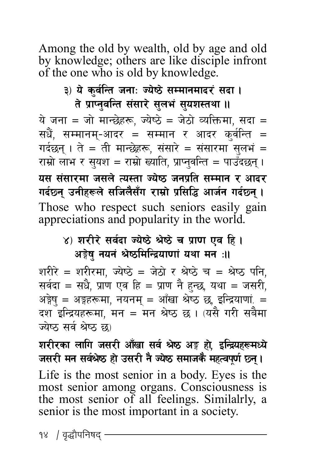Among the old by wealth, old by age and old by knowledge; others are like disciple infront of the one who is old by knowledge.

> ३) ये कुर्वन्ति जना: ज्येष्ठे सम्मानमादरं सदा। ते प्राप्नुवन्ति संसारे सुलभं सुयशस्तथा **॥**

ये जना = जो मान्छेहरू, ज्येष्ठे = जेठो व्यक्तिमा, सदा =<br>सधैं, सम्मानम्-आदर = सम्मान र आदर कुर्वन्ति =<br>गर्दछन् । ते = ती मान्छेहरू, संसारे = संसारमा सुलभं =<br>राम्रो लाभ र सुयश = राम्रो ख्याति, प्राप्नुवन्ति = पाउँदछन यस संसारमा जसले त्यस्ता ज्येष्ठ जनप्रति सम्मान र आदर गर्दछन् उनीहरूले सजिलैसँग राम्रो प्रसिद्धि आर्जन गर्दछन् । Those who respect such seniors easily gain appreciations and popularity in the world.

#### ४) शरीरे सर्वदा ज्येष्ठे श्रेष्ठे च प्राण एव हि । अङ्गेषु नयनं श्रेष्ठमिन्द्रियाणां यथा मन**ः।।**

शरीरे = शरीरमा, ज्येष्ठे = जेठो र श्रेष्ठे च = श्रेष्ठ पनि,<br>सर्वदा = सधै, प्राण एव हि = प्राण नै हुन्छ, यथा = जसरी,<br>अङ्गेषु = अङ्गहरूमा, नयनम् = आँखा श्रेष्ठ छ, इन्द्रियाणां. =<br>दश इन्द्रियहरूमा, मन = मन श्रेष्ठ छ । (यसै ग

शरीरका लागि जसरी आँखा सर्व श्रेष्ठ अङ्ग हो, इन्द्रियहरूमध्ये<br>जसरी मन सर्वश्रेष्ठ हो उसरी नै ज्येष्ठ समाजकै महत्वपूर्ण छ्न्।

Life is the most senior in a body. Eyes is the most senior among organs. Consciousness is the most senior of all feelings. Similalrly, a senior is the most important in a society.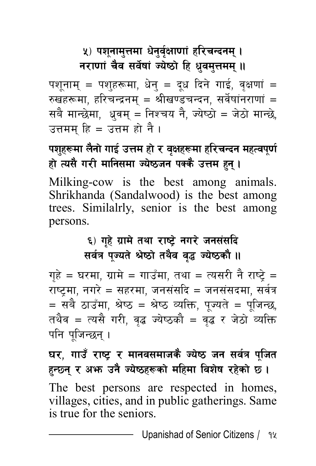#### <u>५</u>) पशुनामुत्तमा धेनुर्वुक्षाणां हरिचन्दनम् । **नराणां चैव सर्वेषां ज्येष्ठो हि ध्रुवमुत्तमम् ॥**

पशूनाम् = पशुहरूमा, धेनु = दूध दिने गाई, वृक्षणां = रुखहरूमा, हरिचन्द्रनम् = श्रीखण्डचन्दन, सर्वेषांनराणां = सबै मान्छेमा, धूवम् = निश्चय नै, ज्येष्ठो = जेठो मान्छे, उत्तमम हि $=$  उत्तम हो नै ।

#### **kzx¿df n ' gf } ufO ] pQd xf { / j ] Ifx¿df xl/rGbg dxTjk [ 0f " { xf To; ] u/L dflg;df Ho } i7hg kSs ] pQd x } g' .\**

Milking-cow is the best among animals. Shrikhanda (Sandalwood) is the best among trees. Similalrly, senior is the best among persons.

#### ६) गृहे ग्रामे तथा राष्ट्रे नगरे जनसंसदि **सर्वत्र पूज्यते श्रेष्ठो तथैव वृद्ध ज्येष्ठकौ ।।**

गृहे = घरमा, ग्रामे = गाउँमा, तथा = त्यसरी नै राष्ट्रे = राष्ट्मा, नगरे = सहरमा, जनसंसदि = जनसंसदमा, सर्वत्र = सबै ठाउँमा, श्रेष्ठ = श्रेष्ठ व्यक्ति, पज्यते = पजिन्छ, तथैव = त्यसै गरी, वृद्ध ज्येष्ठकौ = वृद्ध र जेठो व्यक्ति पनि पुजिन्छन् ।

घर, गाउँ राष्ट्र र मानवसमाजकै ज्येष्ठ जन सर्वत्र पूजित हन्छन र अ**भ्रु उनै ज्येष्ठहरूको महिमा विशेष रहेको** छ।

The best persons are respected in homes, villages, cities, and in public gatherings. Same is true for the seniors.

Upanishad of Senior Citizens / 14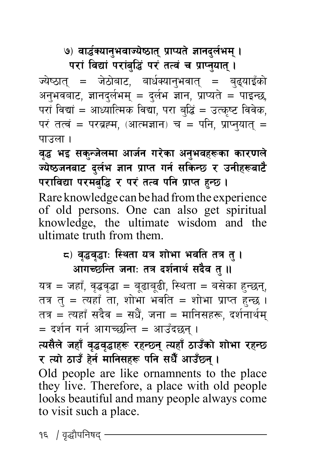**७) वार्द्धक्यानुभवाज्येष्ठात् प्राप्यते ज्ञानदुर्लभम् ।** 

परां विद्यां परांबुद्धिं परं तत्वं च प्राप्तुयात् ।

ज्येष्ठात् = जेठोबाट, बार्धक्यानुभवात् = बुद्याइँको अनुभवबाट, ज्ञानदुर्लभम् = दुर्लभ ज्ञान, प्राप्यते = पाइन्छ, परां विद्यां = आध्यात्मिक विद्या, परा बुद्धिं = उत्कृष्ट विवेक, परं तत्वं = परब्रह्म, (आत्मज्ञान) च = पनि, प्राप्नुयात् = पाउला ।

वृद्ध भइ सकुन्जेलमा आर्जन गरेका अनुभवहरूका कारणले ज्येष्ठजनबाट दुर्लभ ज्ञान प्राप्त गर्न सकिन्छ र उनीहरूबा**टै पराविद्या परमबुद्धि र परं तत्व पनि प्राप्त हुन्छ ।** 

Rare knowledge can be had from the experience of old persons. One can also get spiritual knowledge, the ultimate wisdom and the ultimate truth from them.

#### **द) वृद्धवृद्धाः स्थिता यत्र शोभा भवति तत्र** तु । आगच्छन्ति जनाः तत्र दर्शनार्थ सदैव त् **॥**

यत्र = जहाँ, वृद्धवृद्धा = बूढाबूढी, स्थिता = बसेका हुन्छन्, तत्र त् = त्यहाँ ता, शोभा भवति = शोभा प्राप्त हुन्छ । तत्र = त्यहाँ सदैव = सधैं, जना = मानिसहरू, दर्शनार्थम्  $\, = \,$  दर्शन गर्न आगच्छन्ति  $\, = \,$  आउँदछन् ।

त्यसैले जहाँ वृद्धवृद्धाहरू रहन्छन् त्यहाँ ठाउँको शोभा रहन्छ र त्यो ठाउँ हेर्न मानिसहरू पनि सधैँ आउँछन् **।** Old people are like ornamnents to the place they live. Therefore, a place with old people looks beautiful and many people always come to visit such a place.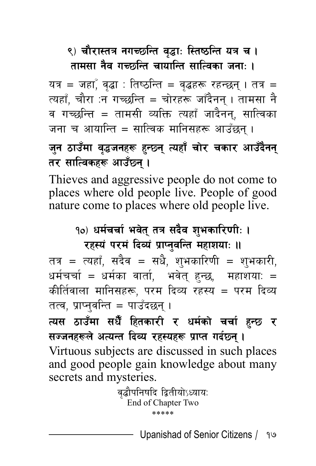### ९) चौरास्तत्र नगच्छन्ति वृद्धाः स्तिष्ठन्ति यत्र च **।** <u>तामसा नैव गच्छ्कन्ति चायान्ति सात्विका जनाः ।</u>

यत्र = जहाँ, वृद्धा : तिष्ठन्ति = वृद्धहरू रहन्छन् । तत्र = त्यहाँ, चौरा :न गच्छन्ति = चोरहरू जाँदैनन् । तामसा नै व गच्छन्ति = तामसी व्यक्ति त्यहाँ जादैनन, सात्विका जना च आयान्ति = सात्विक मानिसहरू आउँछन ।

#### <u>जन ठाउँमा वृद्धजनहरू हुन्छ्न</u> त्यहाँ चोर चकार आउँदैनन् तर सात्विकहरू आउँछन **।**

Thieves and aggressive people do not come to places where old people live. People of good nature come to places where old people live.

#### १०) धर्मचर्चा भवेत तत्र सदैव शभकारि**णीः** ।

**रहस्यं परमं दिव्यं प्राप्तुवन्ति महाशयाः ॥** 

तत्र = त्यहाँ, सदैव = सधै, शुभकारिणी = शुभकारी, धर्मचर्चा = धर्मका वार्ता, भवेत् हुन्छ, महाशया: = कीर्तिवाला मानिसहरू, परम दिव्य रहस्य = परम दिव्य तत्व, प्राप्नुवन्ति = पाउँदछन् ।

त्यस ठाउँमा सधैँ हितकारी र धर्मको <mark>चर्चा</mark> हुन्छ र **सज्जनहरूले अत्यन्त दिव्य रहस्यहरू प्राप्त गर्दछन।** 

Virtuous subjects are discussed in such places and good people gain knowledge about many secrets and mysteries.

> वृद्धौपनिषदि द्वितीयोऽध्यायः End of Chapter Two \*\*\*\*\*

> > Upanishad of Senior Citizens ÷ 17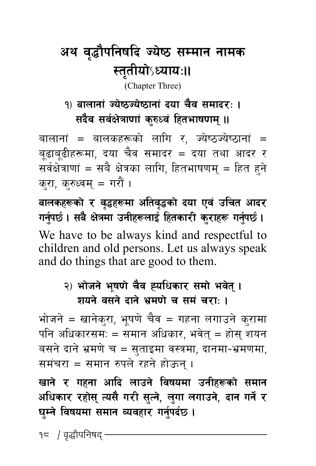## अथ वृद्धौपनिषदि ज्येष्ठ सम्मान नामक **:**स्तुतीयोऽध्याय:॥

(Chapter Three)

#### <u>१) बालानां ज्येष्ठज्येष्ठानां दया चैव समादर: ।</u> **सदैव सर्वक्षेत्राणां कुरुध्वं हितभाषणम् ॥**

बालानां = बालकहरूको लागि र, ज्येष्ठज्येष्ठानां = बूढाबूढीहरूमा, दया चैव समादर = दया तथा आदर र सर्वक्षेत्राणां = सबै क्षेत्रका लागि, हितभाषणम् = हित हने करा, क्रुध्वम् = गरौं ।

**afnsx¿sf / j ] 4x¿df cltj [ 4sf [ bof Pj ] plrt cfb/ +**  $\overline{n}$  गर्नुपर्छ । सबै क्षेत्रमा उनीहरूलाई हितकारी कुराहरू गर्नुपर्छ ।

We have to be always kind and respectful to children and old persons. Let us always speak and do things that are good to them.

#### २) भोजने भषणे चैव ह्यधिकार समो भवेत । **शयते वसते दाते भ्रमणे च समं चरा: ।**

भोजने = खानेकरा, भूषणे चैव = गहना लगाउने कुरामा पनि अधिकारसम: = समान अधिकार, भवेत् = होस् शयन बसने दाने भ्रमणे च = सुताइमा वस्त्रमा, दानमा-भ्रमणमा, समंचरा = समान रुपले रहने होऊन ।

खाने र गहना आदि लाउने विषयमा उनीहरूको स**मा**न अधिकार रहोस त्यसै गरी सत्ने, लगा लगाउने, दान गर्ने र घुम्ने विषयमा समान व्यवहार गर्नुपर्दछ ।

१८ / वृद्धौपनिषद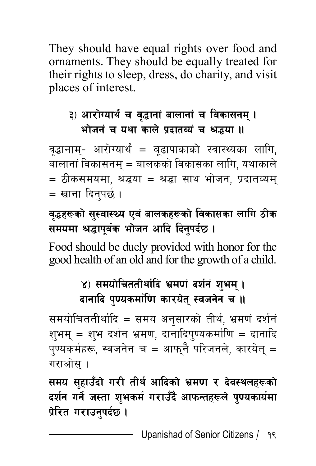They should have equal rights over food and ornaments. They should be equally treated for their rights to sleep, dress, do charity, and visit places of interest.

#### ३) आरोग्यार्थ च वृद्धानां बालानां च विकासनम् **।** भोजनं च यथा काले प्रदातव्यं च श्रद्धया ।।

वृद्धानाम्- आरोग्यार्थं = बूढापाकाको स्वास्थ्यका लागि, बालानां विकासनम् = बालकको विकासका लागि, यथाकाले  $=$  ठीकसमयमा, श्रद्धया = श्रद्धा साथ भोजन, प्रदातव्यम् = खाना दिनपर्छ ।

#### वृद्धहरूको सुस्वास्थ्य एवं बालकहरूको विकासका लागि ठीक **समयमा श्रद्धापूर्वक भोजन आदि दिनुपर्दछ।**

Food should be duely provided with honor for the good health of an old and for the growth of a child.

#### ४) समयोचिततीर्थादि भ्रमणं दर्शनं शभम् । **दानादि पुण्यकर्माणि कारयेत् स्वजनेन च ।।**

समयोचिततीर्थादि = समय अनुसारको तीर्थ, भ्रमणं दर्शनं शुभम् = शुभ दर्शन भ्रमण, दानादिपुण्यकर्माणि = दानादि पुण्यकर्महरू, स्वजनेन च = आफ्**नै परिजनले, कारयेत्** = गराओस $\,$  ।

समय सुहाउँदो गरी तीर्थ आदिको भ्रमण र देवस्थलहरूको दर्शन गर्ने जस्ता शभकर्म गराउँदै आफन्तहरूले पण्यकार्यमा प्रेरित गराउन्**पर्द**छ ।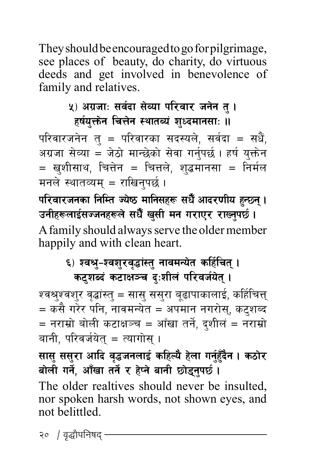They should be encouraged to go for pilgrimage, see places of beauty, do charity, do virtuous deeds and get involved in benevolence of family and relatives.

#### **४) अग्रजाः सर्वदा सेव्या परिवार जनेन त् ।** हर्षयक्तेन चित्तेन स्थातव्यं शध्दमानसा: ॥

परिवारजनेन तु $=$  परिवारका सदस्यले, सर्वदा $=$  सधैं, अग्रजा सेव्या = जेठो मान्छेको सेवा गर्नपर्छ । हर्ष यक्तेन = खुशीसाथ, चित्तेन = चित्तले, शुद्धमानसा = निर्मल मनले स्थातव्यम = राखिनपर्छ ।

**kl/jf/hgsf lglDt Hoi7 dflg;x¿ ;w ] cfb/0fLo x "} G5g ' . \ pgLx¿nfO;Hhgx¿n { ;w ] v"} ;L dg u/fP/ /fVg ' k5' . {** A family should always serve the older member happily and with clean heart.

#### ६) श्वश्रु–श्वशुरवृद्धांस्तु नावमन्येत कर्हिचित् । कटशब्दं कटाक्षञ्च दःशीलं परिवर्जयेत् **।**

श्वश्र्**वश्**र वृद्धांस्त् = सास् सस्**रा बृढापाकालाई, कर्हिचित्त्**  $\,=$  कसै गरेर पनि, नावमन्येत  $\,=$  अपमान नगरोस्, कट्शब्द  $=$  नराम्रो बोली कटाक्षञ्च = आँखा तर्ने, दशीलं = नराम्रो बानी. परिवर्जयेत $\,$  =  $\,$ त्यागोस ।

सास ससुरा आदि वृद्धजनलाई कहिल्यै हेला गर्नुहुँदैन । कठोर बोली गर्ने, आँखा तर्ने र हेप्ने बानी छोडुनुपर्छ । The older realtives should never be insulted, nor spoken harsh words, not shown eyes, and not belittled.

२० / वृद्धौपनिषद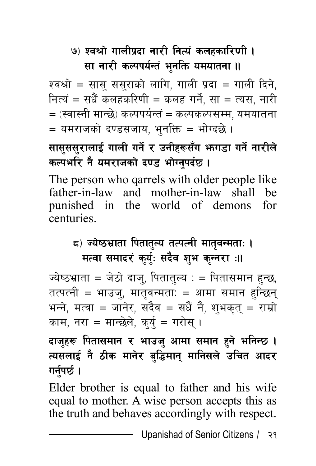# <u>७) श्वश्रो गालीप्रदा नारी नित्यं कलहकारिणी ।</u> **सा नारी कल्पपर्यन्तं भुनक्ति यमयातना ।।**

श्वश्रो = सास् ससुराको लागि, गाली प्रदा = गाली दिने, नित्यं = सधैं कलहकरिणी = कलह गर्ने, सा = त्यस, नारी  $\mathcal{L}=(\mathcal{R}^2\mathcal{A})\in\mathcal{R}$ कल्पर्यन्तं = कल्पकल्पसम्म, यमयातना = यमराजको दण्डसजाय, भुनक्ति = भोग्दछे ।

# **सासुससुरालाई गाली गर्ने र उनीहरूसँग भागडा गर्ने नारीले** कल्पभरि नै यमराजको दण्ड भोग्नपर्दछ ।

The person who qarrels with older people like father-in-law and mother-in-law shall be punished in the world of demons for centuries.

# $\mathbf{r}_\mathbf{G}$ ) ज्येष्ठभ्राता पितातुल्य तत्पत्नी मातुवन्मता: । **मत्वा समादरं कुर्युः सदैव शुभ कन्नरा** :।।

ज्येष्ठभ्राता = जेठो दाज्, पितातुल्य : = पितासमान हुन्छ, तत्पत्नी = भाउजु, मातृवन्मताः = आमा समान हुन्<mark>छ</mark>िन् भन्ने, मत्वा = जानेर, सदैव = सधैं नै, श्**भकृत् = राम्रो** काम, नरा = मान्छेले, कुर्य = गरोसु ।

### दाजुहरू पितासमान र भाउजु आमा समान हुने भनिन्छ **।** त्यसलाई नै ठीक मानेर बुद्धिमान् मानिसले उचित आदर **गर्नुपर्छ।**

Elder brother is equal to father and his wife equal to mother. A wise person accepts this as the truth and behaves accordingly with respect.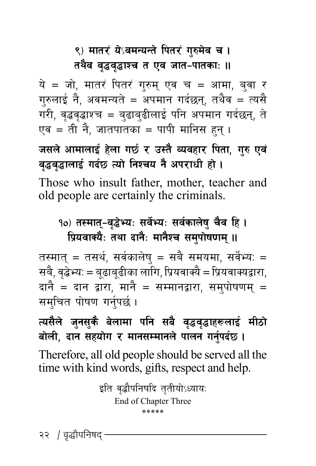# ९) मातरं ये**ऽवमन्यन्ते पितरं गुरुमेव च** ।

#### तथैव वृद्धवृद्धाश्च त एव जात-पातकाः **॥**

ये = जो, मातरं पितरं गुरुम् एव च = आमा, बुवा र गुरुलाई नै, अवमन्यते = अपमान गर्दछन्, तथैव = त्यसै गरी, वृद्धवृद्धाश्च = बुढाबुढीलाई पनि अपमान गर्दछन्, ते एव = ती नै, जातपातका = पापी मानिस हन् ।

जसले आमालाई हेला गर्छ र उस्तै व्यवहार पिता, गुरु एवं वृद्धवृद्धालाई गर्दछ त्यो निश्चय नै अपराधी हो ।

Those who insult father, mother, teacher and old people are certainly the criminals.

### १०) तस्मात्-वृद्धेभ्यः सर्वेभ्यः सर्वकालेषु चैव हि **।** प्रियवाक्यैः तथा दानैः मानैश्च समुपोषणम् ॥

तस्मात् = तसर्थ, सर्वकालेष् = सबै समयमा, सर्वेभ्यः = सबै, वृद्धेभ्यः = बृढाबुढीका लागि, प्रियवाक्यै = प्रियवाक्यद्वारा, दानै = दान द्वारा, मानै = सम्मानद्वारा, समपोषणम् = समुचित पोषण गर्नुपर्छ।

# त्यसैले जुनसु<mark>कै बेलामा पनि सबै वृद्धवृद्धाहरूलाई मीठो</mark> बोली, दान सहयोग र मानसम्मानले पालन गर्नुपर्दछ।

Therefore, all old people should be served all the time with kind words, gifts, respect and help.

> इति वृद्धौपनिषदि तृतीयोऽध्यायः End of Chapter Three \*\*\*\*\*

२२ / वृद्धौपनिषद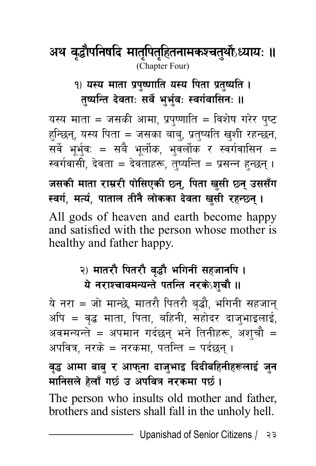# $\bm{X}$  अथ वृद्धौपनिषदि मातुपितुहितनामकश्चतुर्थोऽध्यायः ॥ (Chapter Four)

### <u>१) यस्य माता प्रपुष्णाति यस्य पिता प्रतृष्यति ।</u> तष्यन्ति देवता: सर्वे भर्भव: स्वर्गवासिन: ॥

यस्य माता = जसकी आमा, प्रपुष्णाति = विशेष गरेर पृष्ट हन्छिन्, यस्य पिता = जसका बाब्, प्रत्¤िति खुशी रहन्छन, सर्वे भूर्भुव: = सबै भूर्लोक, भुवर्लोक र स्वर्गवासिन = स्वर्गवासी. देवता = देवताहरू. तष्यन्ति = प्रसन्त हन्छन । जसकी माता राम्ररी पोसिएकी छ्न, पिता खसी छ्न उससँग **स्वर्ग, मर्त्य, पाताल तीनै लोकका देवता खुसी रहन्छन् ।** All gods of heaven and earth become happy and satisfied with the person whose mother is healthy and father happy.

# २) मातरौ पितरौ वृद्धौ भगिनीं सहजानपि **।** ये नराश्चावमन्यन्ते पतन्ति नरकेऽश्**चौ ।**।

ये नरा = जो मान्छे, मातरौ पितरौ बुद्धौ, भगिनी सहजान् अपि = वृद्ध माता, पिता, बहिनी, सहोदर दाजुभाइलाई, अवमन्यन्ते = अपमान गर्दछन् भने तिनीहरू, अश्**चौ** = अपवित्र, नरके = नरकमा, पतन्ति = पर्दछन ।

वद्ध आमा बाब र आफना दाजभाइ दिदीबहिनीहरूलाई **जन मानिसले हेलाँ गर्छ उ अपवित्र नरकमा पर्छ।** 

The person who insults old mother and father, brothers and sisters shall fall in the unholy hell.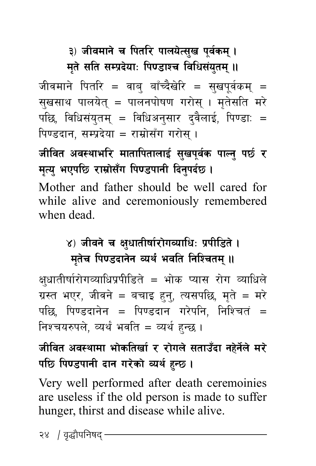३) जीवमाने च पितरि पालयेत्सुख पुर्वकम् **।** 

**मुते सति सम्प्रदेयाः पिण्डाश्च विधिसंयुतम् ॥** 

जीवमाने पितरि = वाब् बाँच्दैखेरि = सुखपूर्वकम् = सुखसाथ पालयेत् = पालनपोषण गरोस् । मृतेसति मरे पछि, विधिसंयुतम् = विधिअनुसार द्वैलाई, पिण्डाः = पिण्डदान, सम्प्रदेया = राम्रोसँग गरोस ।

जीवित अवस्थाभरि मातापितालाई सुखपूर्वक पाल्नु पर्छ र **मृत्यु भएपछि राम्रोसँग पिण्डपानी दिनुपर्दछ।** 

Mother and father should be well cared for while alive and ceremoniously remembered when dead.

# ४) जीवने च क्षुधातीर्षारोगव्याधिः प्रपीडिते **।** मृतेच पिण्डदानेन व्यर्थं भवति निश्चितम् **॥**

क्षुधातीर्षारोगव्याधिप्रपीडिते = भोक प्यास रोग व्याधिले ग्रस्त भएर, जीवने = बचाइ हुन्, त्यसपछि, मुते = मरे पछि, पिण्डदानेन = पिण्डदान गरेपनि, निश्चितं = निश्चयरुपले. व्यर्थं भवति = व्यर्थ हन्छ ।

# जीवित अवस्थामा भोकतिर्खा र रोगले सताउँदा नहेर्नेले **म**रे पछि पिण्डपानी दान गरेको व्यर्थ हन्छ ।

Very well performed after death ceremoinies are useless if the old person is made to suffer hunger, thirst and disease while alive.

२४ / वद्धौपनिषद -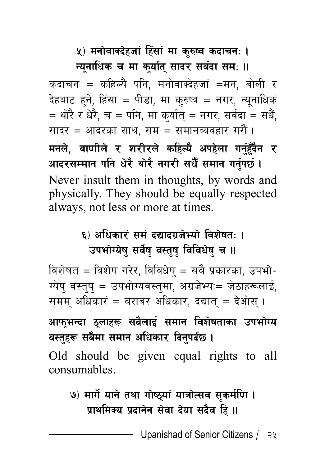### **५) मनोवाक्देहजां हिंसां मा कुरुष्व कदाचन: ।** *Fure Fure Fure in the rure fure in Fure in turn: 11*

कदाचन = कहिल्यै पनि, मनोवाक्देहजां =मन, बोली र देहबाट हने, हिंसा = पीडा, मा कुरुष्व = नगर, न्युनाधिकं = थोरै र धेरै, च = पनि, मा कुर्यात् = नगर, सर्वदा = सधैं, सादर = आदरका साथ. सम $=$  समानव्यवहार गरौं । मनले, वाणीले र शरीरले कहिल्यै अपहेला गर्नहॅंदैन र आदरसम्मान पनि धेरै थोरै नगरी सधैँ समान गर्नुपर्छ । Never insult them in thoughts, by words and physically. They should be equally respected always, not less or more at times.

# ६) अधिकारं समं दद्यादग्रजेभ्यो विशेषत: । उपभोग्येष सर्वेष वस्तष विविधेष च ।।

विशेषत = विशेष गरेर, विविधेष् = सबै प्रकारका, उपभो-ग्येषु वस्तुषु = उपभोग्यवस्तुमा, अग्रजेभ्यः= जेठाहरूलाई, समम् अधिकारं = बराबर अधिकार, दद्यात् = देओस् ।

# आफ**भन्दा ठुलाहरू सबैलाई समान विशेषताका उपभो**ग्य वस्तुहरू सबैमा समान अधिकार दिनुपर्दछ ।

Old should be given equal rights to all consumables.

# **&\_ dfu]{ ofg] tyf uf]i7\of+ ofqf]T;j ;'sd{l0f . प्राथमिक्य प्रदानेन सेवा देया सदैव हि ।।**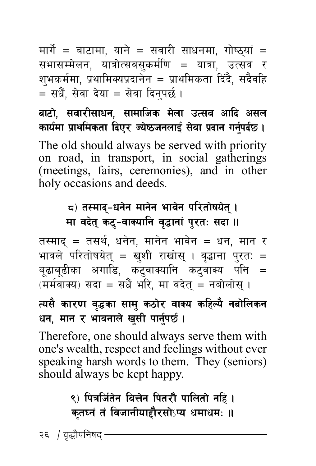मार्गे = बाटामा, याने = सवारी साधनमा, गोष्ठ्यां = सभासम्मेलन, यात्रोत्सवसुकर्मणि = यात्रा, उत्सव र शुभकर्ममा, प्रथामिक्यप्रदानेन = प्राथमिकता दिंदै, सदैवहि  $\overline{\phantom{a}}$  = सधैं. सेवा देया = सेवा दिनपर्छ ।

बाटो, सवारीसाधन, सामाजिक मेला उत्सव आदि असल **sfodf k { fyldstf lbP/ Ho | i7hgnfO ] ;{ jf k ] bfg ug | kb{' 5 . {** The old should always be served with priority on road, in transport, in social gatherings (meetings, fairs, ceremonies), and in other holy occasions and deeds.

> $\mathbf{r}$ ) तस्माद्-धनेन मानेन भावेन परितोषयेत् । **मा वदेत् कटु-वाक्यानि वृद्धानां पुरतः सदा ।।**

तस्माद = तसर्थ. धनेन. मानेन भावेन = धन. मान र भावले परितोषयेत् = खुशी राखोस् । वृद्धानां पुरतः = बूढाबूढीका अगाडि, कट्वाक्यानि कट्वाक्य पनि =  $\overline{q}$ (मर्मवाक्य) सदा = सधैं भरि, मा वदेत् = नबोलोस् ।

### त्यसै कारण वृद्धका सामु कठोर वाक्य कहिल्यै नबोलिकन धन, मान र भावनाले खुसी पार्नुपर्छ ।

Therefore, one should always serve them with one's wealth, respect and feelings without ever speaking harsh words to them. They (seniors) should always be kept happy.

# ९) पित्रजिंतेन वित्तेन पितरौ पालितो नहि **। कतघ्नं तं विजानीयाद्दौरसो**ऽप्य धमाधमः ॥

२६ *।* वृद्धौपनिषद<sup>्</sup>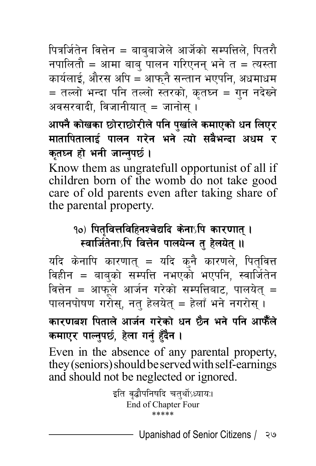पित्रजितेन वित्तेन = बाबुबाजेले आर्जेको सम्पत्तिले, पितरौ नपालितौ = आमा बाब पालन गरिएनन भने त = त्यस्ता कार्यलाई, औरस अपि = आफनै सन्तान भएपनि, अधमाधम  $=$  तल्लो भन्दा पनि तल्लो स्तरको, कुतघ्न = गुन नदेख्ने अवसरवादी. विजानीयात $i = \pi$ नोस $i$ ।

आफ्नै कोखका छोराछोरीले पनि पर्खाले कमाएको धन लिएर मातापितालाई पालन गरेन भने त्यो सबैभन्दा अधम र कतघ्न हो भनी जान्नपर्छ ।

Know them as ungratefull opportunist of all if children born of the womb do not take good care of old parents even after taking share of the parental property.

#### १०) पितवित्तविहिनश्चेद्यदि केना**∫पि कार**णात् । स्वार्जितेना**ऽपि वित्तेन पालयेन्न त हेलयेत् ।**।

यदि केनापि कारणात् = यदि कनै कारणले, पितवित्त विहीन = बाबुको सम्पत्ति नभएको भएपनि, स्वार्जितेन वित्तेन = आफुले आर्जन गरेको सम्पत्तिबाट, पालयेत् = पालनपोषण गरोस, नत हेलयेत = हेलाँ भने नगरोस ।

# कारणबश पिताले आर्जन गरेको धन छैन भने पनि आफैँले कमाएर पाल्नुपर्छ, हेला गर्नु हुँदैन ।

Even in the absence of any parental property, they (seniors) should be served with self-earnings and should not be neglected or ignored.

> इति वृद्धौपनिषदि चतुर्थोऽध्याय:। End of Chapter Four \*\*\*\*\*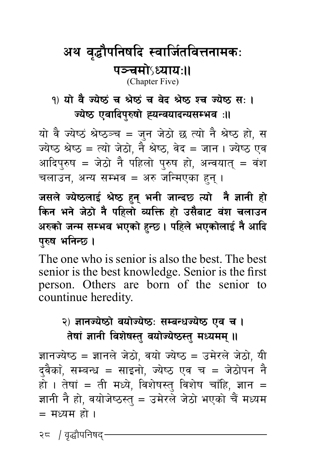### अथ वृद्धौपनिषदि स्वार्जितवित्तनामकः पञ्चमोऽध्याय:॥ (Chapter Five)

#### 9) यो वै ज्येष्ठं च श्रेष्ठं च वेद श्रेष्ठ श्च ज्येष्ठ स: । ज्येष्ठ एवादिपरुषो ह्यन्वयादन्यसम्भव**ः**॥

यो वै ज्येष्ठं श्रेष्ठञ्च = जन जेठो छ त्यो नै श्रेष्ठ हो, स ज्येष्ठ श्रेष्ठ = त्यो जेठो, नै श्रेष्ठ, वेद = जान। ज्येष्ठ एव आदिपुरुष = जेठो नै पहिलो पुरुष हो, अन्वयातु = वंश चलाउन, अन्य सम्भव = अरु जन्मिएका हुन ।

जसले ज्येष्ठलाई श्रेष्ठ हुन् भनी जान्दछ त्यो **नै ज्ञानी** हो किन भने जेठो नै पहिलो व्यक्ति हो उसैबाट वंश चलाउन अरुको जन्म सम्भव भएको हुन्छ । पहिले भएकोलाई नै आदि परुष भनिन्छ।

The one who is senior is also the best. The best senior is the best knowledge. Senior is the first person. Others are born of the senior to countinue heredity.

#### २) ज्ञानज्येष्ठो वयोज्येष्ठः सम्बन्धज्येष्ठ एव च । **तेषां ज्ञानी विशेषस्त वयोज्येष्ठस्त मध्यमम् ॥**

ज्ञानज्येष्ठ = ज्ञानले जेठो. वयो ज्येष्ठ = उमेरले जेठो. यी दुवैका, सम्बन्ध = साइनो, ज्येष्ठ एव च = जेठोपन नै हो । तेषां = ती मध्ये, विशेषस्त् विशेष चाँहि, ज्ञान = ज्ञानी नै हो, वयोजेष्ठस्तु = उमेरले जेठो भएको चैं मध्यम = मध्यम हो ।

२८ / वृद्धौपनिषद $\cdot$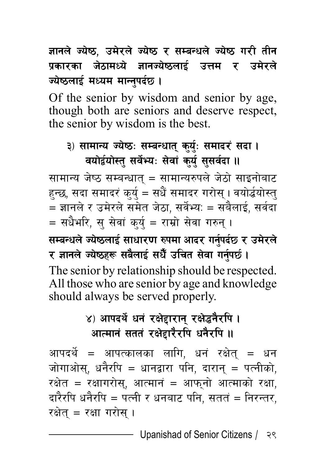# ज्ञानले ज्येष्ठ, उमेरले ज्येष्ठ र सम्बन्धले ज्येष्ठ गरी तीन प्रकारका जेठामध्ये ज्ञानज्येष्ठलाई उत्तम र उमे**रले** ज्येष्ठलाई मध्यम मान्नपर्दछ ।

Of the senior by wisdom and senior by age, though both are seniors and deserve respect, the senior by wisdom is the best.

# ३) सामान्य ज्येष्ठ: सम्बन्धात् कु<u>र्यु</u>: समादरं सदा। वयोर्द्वयोस्तु सर्वेभ्यः सेवां कु<u>र्यु</u> सुसर्वदा ॥

सामान्य जेष्ठ सम्बन्धात् = सामान्यरुपले जेठो साइनोबाट हन्छ, सदा समादरं कुर्यु = सधैं समादर गरोस् । वयोर्द्धयोस्तु = ज्ञानले र उमेरले समेत जेठा, सर्वेभ्यः = सबैलाई, सर्वदा  $\overline{\phantom{a}}$ = सधैभरि, स सेवां कर्य = राम्रो सेवा गरुन ।  $R$  **सम्बन्धले ज्येष्ठलाई साधारण रुपमा आदर गर्नुपर्दछ र उमेरले / 1fgn Ho ] i7x¿ ;a ] nfO } ;w { plrt ; "} jf ug ] k5{' . {** The senior by relationship should be respected. All those who are senior by age and knowledge should always be served properly.

# ४) आपदर्थे धनं रक्षेद्दारान् रक्षेद्धनैर**पि** । आत्मानं सततं रक्षेद्दारैर**पि धनैरपि** ॥

आपदर्थे = आपत्कालका लागि, धनं रक्षेत् = धन जोगाओस्, धनैरपि = धानद्वारा पनि, दारान् = पत्नीको,  $\bar{\mathcal{R}}$ सेत = रक्षागरोस, आत्मानं = आफनो आत्माको रक्षा, दारैरपि धनैरपि = पत्नी र धनबाट पनि, सततं = निरन्तर, रक्षेत $=$  रक्षा गरोस ।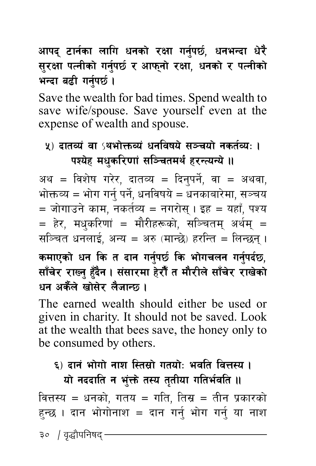आपद् टार्नका लागि धनको रक्षा गर्नुपर्छ, धनभन्दा धेरै **सुरक्षा पत्नीको गर्नुपर्छ र आफ्**नो रक्षा, धनको र पत्नीको **भन्दा बढी गर्नपर्छ ।** 

Save the wealth for bad times. Spend wealth to save wife/spouse. Save yourself even at the expense of wealth and spouse.

### <u>५) टातव्यं वा <sup>(</sup>थभोक्तव्यं धनविषये सञ्चयो नकर्तव्यः ।</u> पश्येह मधुकरिणां सञ्चितमर्थं हरन्त्यन्ये **॥**

अथ = विशेष गरेर, दातव्य = दिनपर्ने, वा = अथवा, भोक्तव्य = भोग गर्न् पर्ने, धनविषये = धनकाबारेमा, सञ्चय  $\, = \,$ जोगाउने काम. नकर्तव्य $\, = \,$  नगरोस । इह $\, = \,$  यहाँ. पश्य = हेर, मधुकरिणां = मौरीहरूको, सञ्चितम् अर्थम् = सञ्चित धनलाई. अन्य = अरु (मान्छे) हरन्ति = लिन्छन ।

### कमाएको धन कि त दान गर्नपर्छ कि भोगचलन गर्नपर्दछ. <u>साँचेर राख्न हॅंदेन । संसारमा हेरौँ त मौरीले साँचेर राखेको</u> धन अर्केले खोसेर लैजान्छ।

The earned wealth should either be used or given in charity. It should not be saved. Look at the wealth that bees save, the honey only to be consumed by others.

#### ६) दानं भोगो नाश स्तिसो गतयो<del>: भवति वित्त</del>स्य । **यो नददाति न भुंक्ते तस्य तुतीया गतिर्भवति ।।**

वित्तस्य = धनको, गतय = गति, तिस्र = तीन प्रकारको हुन्छ । दान भोगोनाश = दान गर्नु भोग गर्नु या नाश

३०  $\,$  / वद्धौपनिषद $\,$   $\,$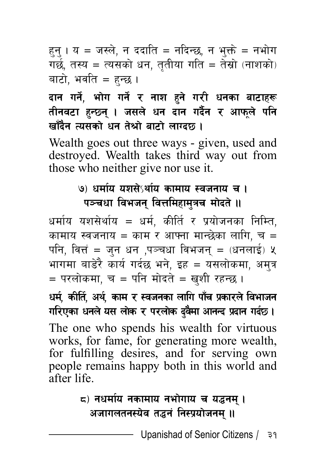हन् । य = जस्ले, न ददाति = नदिन्छ, न भक्ते = नभोग गर्छ, तस्य = त्यसको धन, तुतीया गति = तेस्रो (नाशको) बाटो, भवति = हन्छ ।

### दान गर्ने, भोग गर्<mark>ने र ना</mark>श हुने गरी धनका बाटाहरू तीनवटा हन्छन् । जसले धन दान गर्दैन र आफले पनि <u>खाँदैन त्यसको धन तेश्रो बाटो ला</u>ग्दछ ।

Wealth goes out three ways - given, used and destroyed. Wealth takes third way out from those who neither give nor use it.

#### <u>७) धर्माय यशसेऽर्थाय कामाय स्वजनाय च ।</u> पञ्चधा विभजन वित्तमिहामत्रच **मोदते** ॥

धर्माय यशसेर्थाय = धर्म, कीर्ति र प्रयोजनका निम्ति, कामाय स्वजनाय = काम र आफ्ना मान्छेका लागि, च = पनि, वित्तं = जुन धन ,पञ्चधा विभजन् =  $\epsilon$ धनलाई) प्र भागमा बाडेरै कार्य गर्दछ भने. इह ${}=$  यसलोकमा, अमत्र  $=$  परलोकमा. च $=$  पनि मोदते = खुशी रहन्छ ।

**wd, sLlt { , cy { , sfd / :jhgsf nflu kf { r k " sf/n | ljefhg ] ul/Psf wgn o; nf ] s / k/nf ] s b ] j'df cfgGb k } bfg ub | 5 . {** The one who spends his wealth for virtuous works, for fame, for generating more wealth, for fulfilling desires, and for serving own people remains happy both in this world and after life.

# $\boldsymbol{\epsilon}$ ) नधर्माय नकामाय नभोगाय च यद्धनम् । अजागलतनस्येव तद्धनं निस्प्रयोजनम**।।**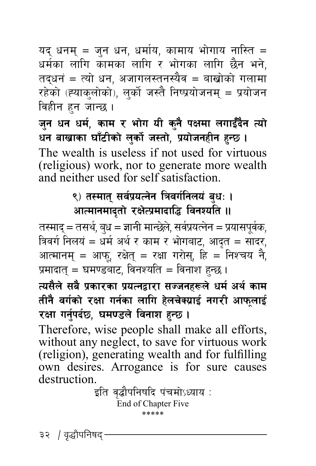यद् धनम् = जुन धन, धर्माय, कामाय भोगाय नास्ति = धर्मका लागि कामका लागि र भोगका लागि छैन भने, तद्धनं = त्यो धन, अजागलस्तनस्यैव = बाखोको गलामा रहेको (ह्याकुलोको), लुर्को जस्तै निष्प्रयोजनम् = प्रयोजन विहीन हुन जान्छ ।

जुन धन धर्म, काम र भोग यी कुनै पक्षमा लगाईँदैन त्यो धन बाखाका घाँटीको लुर्को जस्तो, प्रयोजनहीन हुन्छ **।** The wealth is useless if not used for virtuous (religious) work, nor to generate more wealth and neither used for self satisfaction.

### ९) तस्मात् सर्वप्रयत्नेन त्रिवर्गनिलयं बुधः **।** आत्मानमादृतो रक्षेत्प्रमादाद्धि विनश्यति ।।

तस्माद् = तसर्थ, ब्ध = ज्ञानी मान्छेले, सर्वप्रयत्नेन = प्रयासपूर्वक, त्रिवर्ग निलयं = धर्म अर्थ र काम र भोगबाट, आदृत = सादर, आत्मानम् = आफ्, रक्षेत् = रक्षा गरोस्, हि = निश्चय नै, प्रमादात् = घमण्डबाट, विनश्यति = विनाश हुन्छ ।

त्यसैले सबै प्रकारका प्रयत्नद्वारा सज्जनहरूले धर्म अर्थ काम तीनै वर्गको रक्षा गर्नका लागि हेलचेक्य्राई नगरी आफला**ई** रक्षा गर्नुपर्दछ, घमण्डले विनाश हुन्छ।

Therefore, wise people shall make all efforts, without any neglect, to save for virtuous work (religion), generating wealth and for fulfilling own desires. Arrogance is for sure causes destruction.

इति वृद्धौपनिषदि पंचमोऽध्याय : End of Chapter Five \*\*\*\*\*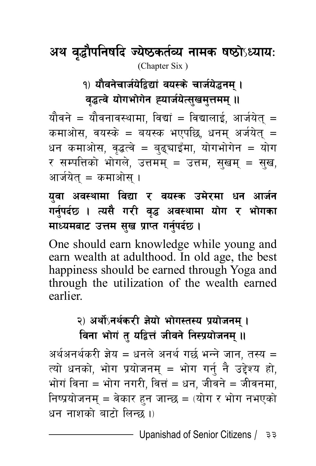अथ वृद्धौपनिषदि ज्येष्ठकर्तव्य नामक षष्ठोऽध्यायः (Chapter Six )

### १) यौवनेचार्जयेद्विद्यां वयस्के चार्जयेद्धनम । वृद्धत्वे योगभोगेन ह्यार्जयेत्सुखमुत्तमम् **॥**

यौवने = यौवनावस्थामा, विद्यां = विद्यालाई, आर्जयेत = कमाओस, वयस्के = बयस्क भएपछि, धनम् अर्जयेत् = धन कमाओस, वृद्धत्वे = बढुचाइँमा, योगभोगेन = योग र सम्पत्तिको भोगले, उत्तमम् = उत्तम, सुखम् = सुख, आर्जयेत् $=$  कमाओस् ।

युवा अवस्थामा विद्या र वयस्क उमेरमा धन आर्ज**न** गर्नुपर्दछ । त्यसै गरी वृद्ध अवस्थामा योग र भोगका **माध्यमबाट उत्तम सुख प्राप्त गर्नुपर्दछ।** 

One should earn knowledge while young and earn wealth at adulthood. In old age, the best happiness should be earned through Yoga and through the utilization of the wealth earned earlier.

# २) अर्थोऽनर्थकरी ज्ञेयो भोगस्तस्य प्रयोजनम् । विना भोगं त यद्वित्तं जीवने निस्प्रयोजनम् ॥

अर्थअनर्थकरी ज्ञेय = धनले अनर्थ गर्छ भन्ने जान, तस्य =  $\vec{r}$ यो धनको, भोग प्रयोजनम् = भोग गर्नु नै उद्देश्य हो, भोगं विना = भोग नगरी, वित्तं = धन, जीवने = जीवनमा, निष्प्रयोजनम् = वेकार हन जान्छ = (योग र भोग नभएको  $27 = 10$  बाटो लिन्छ ।)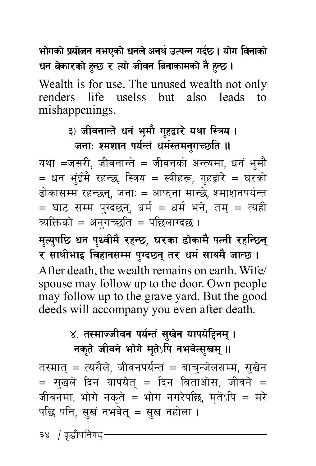**efusf ] k] of | hg gePsf ] wgn ] cgy ] pTkGg ub { 5 . of { u ljgfsf ] ] wg asf/sf ] x] G5 / Tof ' hLjg lagfsfdsf ] g] x} G5 . '**

Wealth is for use. The unused wealth not only renders life uselss but also leads to mishappenings.

#### ३) जीवनान्ते धनं भूमौ गृहद्वारे यथा स्त्रिय **।** जना: श्मशान पर्यन्तं धर्मस्तमनगच्छति ।।

यथा =जसरी, जीवनान्ते = जीवनको अन्त्यमा, धनं भूमौ  $\hat{p} = \hat{p}$ वा भुइँमै रहन्छ, स्त्रिय = स्त्रीहरू, गृहद्वारे = घरको होकासम्म रहन्छन्, जनाः = आफुना मान्छे, श्माशनपर्यन्त  $\, = \,$  घाट सम्म पुग्दछन्, धर्म  $\, = \,$  धर्म भने, तम्  $\, = \,$  त्यही व्यक्तिको = अनगच्छति = पछिलाग्दछ ।

मृत्युपछि धन पृथ्वीमै रहन्छ, घरका ढोकामै पत्नी रहन्छिन् र साथीभाइ चिहानसम्म पुग्दछ्न् तर धर्म साथमै जान्छ । After death, the wealth remains on earth. Wife/ spouse may follow up to the door. Own people may follow up to the grave yard. But the good deeds will accompany you even after death.

### ४. तस्माज्जीवन पर्यन्तं सखेन यापये**हिनम्** । **नकृते जीवने भोगे मृतेऽपि नभवेत्सुखम् ॥**

तस्मात् = त्यसैले, जीवनपर्यन्तं = बाचन्जेलसम्म, सुखेन  $=$  सुखले दिनं यापयेत् = दिन बिताओस, जीवने = जीवनमा, भोगे नकृते = भोग नगरेपछि, मृतेऽपि = मरे पछि पनि, सुखं नभवेत् = सुख नहोला ।

३४ *।* वृद्धौपनिषद<sup>्</sup>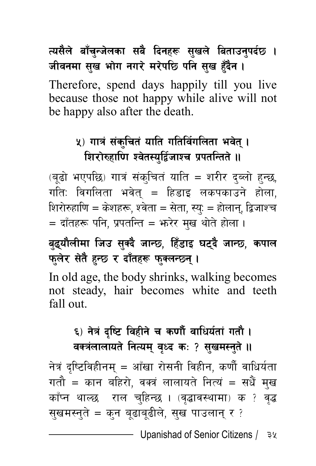# त्यसैले बॉचुन्जेलका सबै दिनहरू सुखले बिताउनुपर्दछ **।** जीवनमा सख भोग नगरे मरेपछि पनि सुख हुँदैन ।

Therefore, spend days happily till you live because those not happy while alive will not be happy also after the death.

# <u>५</u>) गात्रं संकचितं याति गतिर्विगलिता भवेत । शिरोरुहाणि श्वेतस्युर्द्विजाश्च प्रपतन्तिते ।।

(बूढो भएपछि) गात्रं संक्चितं याति = शरीर दब्लो हुन्छ, गतिः विगलिता भवेत् = हिडाइ लकपकाउने होला, शिरोरुहाणि = केशहरू, श्वेता = सेता, स्यु: = होलान्, द्विजाश्च  $\dot{a} = \frac{1}{2}$  दाँतहरू पनि, प्रपतन्ति = भरेर मुख थोते होला ।

# बुद्**यौलीमा जिउ सुक्दै जान्छ, हिँडाइ घट्दै** जान्छ, कपाल फलेर सेतै हन्छ र दाँतहरू फक्लन्छ्न् ।

In old age, the body shrinks, walking becomes not steady, hair becomes white and teeth fall out.

# ६) नेत्रं दष्टि विहीने च कर्णौ वाधिर्यतां गतौ । वक्त्रंलालायते नित्यम् वृध्द कः ? सुखमस्नुते **॥**

नेत्रं दुष्टिविहीनम् = आँखा रोसनी विहीन, कर्णौ वाधिर्यता गतौ = कान बहिरो, वक्त्रं लालायते नित्यं = सधैं मुख काँप्न थाल्छ राल चुहिन्छ । (वृद्धावस्थामा) क ? वृद्ध सुखमस्नुते = कुन बुढाबुढीले, सुख पाउलान् र ?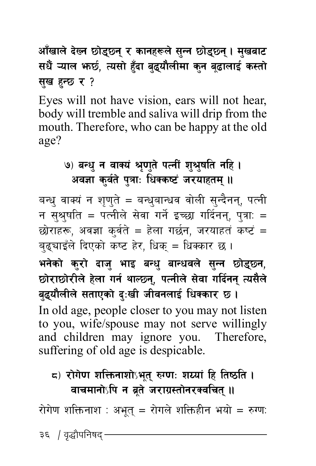<u>आँखाले देख्न छोडुछ्नु र कानहरूले सुन्न छोडुछ्नु । मुखबाट</u> सधैं ऱ्याल **भार्छ, त्यसो हॅंदा बुद्धयौलीमा कुन बु**द्धालाई कस्तो **सुख हुन्छ र?** 

Eyes will not have vision, ears will not hear, body will tremble and saliva will drip from the mouth. Therefore, who can be happy at the old age?

# **(9) बन्धु न वाक्यं श्रुणते पत्नीं शुश्रुषति नहि ।** अवज्ञा कर्वते पत्राः धिक्कष्टं जरयाहतम् ।।

बन्धु वाक्यं न शृणुते = बन्धुबान्धव वोली सुन्दैनन्, पत्नी न स्**श्र्षति = पत्नीले सेवा गर्ने इच्छा गर्दिनन्**, प्**त्राः** = छोराहरू, अवज्ञा क्वंते = हेला गर्छन, जरयाहतं कष्टं = ब्ह्याइँले दिएको कष्ट हेर, धिक् = धिक्कार छ।

भनेको कुरो दाजु भाइ बन्धु बान्धवले सुन्न छो<mark>ड</mark>ुछ्न, छोराछोरीले हेला गर्न थाल्छन्, पत्नीले सेवा गर्दिनन् त्यसैले बुद्**यौलीले सताएको दुःखी जीवनलाई धिक्कार** छ । In old age, people closer to you may not listen to you, wife/spouse may not serve willingly and children may ignore you. Therefore, suffering of old age is despicable.

# $\mathsf{r}_\mathsf{G}$ ) रोगेण शक्तिनाशोऽभुत् रुग्णः शय्यां हि तिष्ठति । **वाचमानोऽपि न ब्रते जराग्रस्तोनरक्वचित् ।।**

रोगेण शक्तिनाश $:$  अभुतु $=$  रोगले शक्तिहीन भयो = रुग्ण:

३६ / वृद्धौपनिषद $\cdot$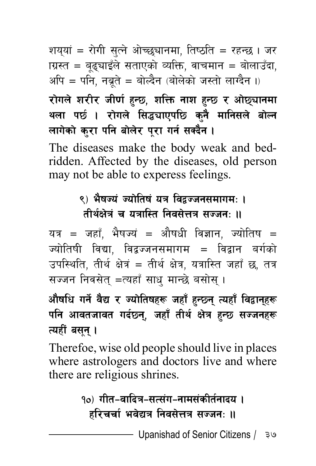शयुयां = रोगी सुत्ने ओच्छुचानमा, तिष्ठति = रहन्छ । जर <u>ाग्रस्त = बृढ्याइँले सताएको व्यक्ति, वाचमान = बोलाउँदा,</u> अपि = पनि, नब्रते = बोल्दैन (बोलेको जस्तो लाग्दैन ।)

# रोगले शरीर जीर्ण हुन्छ, शक्ति नाश हुन्छ र ओछ्यानमा थला पर्छ । रोगले सिद्ध्याएपछि कनै मानिसले बोल<mark>्</mark>न लागेको कुरा पनि बोलेर पूरा गर्न सक्दै**न** ।

The diseases make the body weak and bedridden. Affected by the diseases, old person may not be able to experess feelings.

### ९) भैषज्यं ज्योतिषं यत्र विद्वज्जनसमागम: । <u>तीर्थक्षेत्रं च यत्रास्ति तिवसेत्तत्र सज्जन $\cdot$  ॥</u>

यत्र = जहाँ, भैषज्यं = औषधी विज्ञान, ज्योतिष = ज्योतिषी विद्या, विद्वज्जनसमागम = विद्वान बर्गको उपस्थिति, तीर्थ क्षेत्रं = तीर्थ क्षेत्र, यत्रास्ति जहाँ छ, तत्र सज्जन निवसेत् =त्यहाँ साधु मान्छे बसोस् ।

औषधि गर्ने वैद्य र ज्योतिषहरू जहाँ हुन्छ्न् त्यहाँ विद्वानुहरू पनि आवतजावत गर्दछ्न्, जहाँ तीर्थ क्षेत्र हुन्छ सज्जनहरू *त्यहीं* बसुन् ।

Therefoe, wise old people should live in places where astrologers and doctors live and where there are religious shrines.

> **१०) गीत–वादित्र–सत्संग–नामसंकीर्तनादय** । हरिचर्चा भवेद्यत्र निवसेत्तत्र सज्जन: **॥**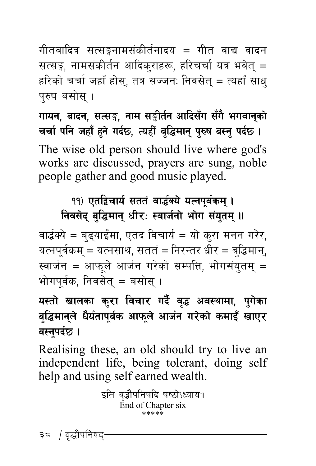गीतवादित्र सत्सङ्गनामसंकीर्तनादय = गीत वाद्य वादन सत्सङ्ग, नामसंकीर्तन आदिक्राहरू, हरिचर्चा यत्र भवेत् = हरिको चर्चा जहाँ होस, तत्र सज्जनः निवसेत = त्यहाँ साध परुष बसोस।

 $\overline{u}$  गायन, बादन, सत्सङ्ग, नाम सङ्कीर्तन आदिसँग सँगै भगवानुको **rrf klg hxf { x" g' ub ] 5, ToxL { j+ l4dfg ' k\ ?if a:g ' kb ' 5 . {** The wise old person should live where god's works are discussed, prayers are sung, noble people gather and good music played.

# 19) एतद्विचार्य सततं वार्द्धक्ये यत्नपर्वकम । **निवसेद बद्धिमान धीर: स्वार्जनो भोग संयतम ।।**

वार्द्धक्ये = बढुयाईमा, एतद विचार्य = यो करा मनन गरेर, यत्नपूर्वकम् = यत्नसाथ, सततं = निरन्तर धीर = ब्द्धिमान्, स्वार्जन = आफुले आर्जन गरेको सम्पत्ति, भोगसंयुतम् = भोगपर्वक. निवसेत् $=$  बसोस् ।

यस्तो खालका कुरा विचार गर्दै वृद्ध अवस्थामा, **पुगेका** बद्धिमानुले धैर्यतापूर्वक आफुले आर्जन गरेको कमाइँ खाए**र** बस्तुपर्दछ ।

Realising these, an old should try to live an independent life, being tolerant, doing self help and using self earned wealth.

```
इति वृद्धौपनिषदि षष्ठोऽध्यायः।
End of Chapter six 
         .<br>مالو جانو جانو جانو جانو
```
३८ / वृद्धौपनिषद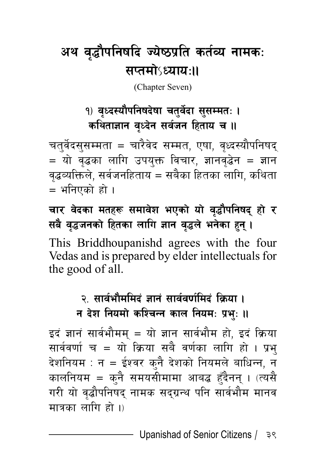# अथ वृद्धौपनिषदि ज्येष्ठप्रति कर्तव्य नामकः  $arctan$ s $u_1$

(Chapter Seven)

# १) वध्दस्यौपनिषदेषा चतर्वेदा ससम्मतः । कथिताज्ञान वृध्देन सर्वजन हिताय च **॥**

चतुर्वेदसुसम्मता = चारैवेद सम्मत, एषा, वृध्दस्यौपनिषद्  $=$  यो वृद्धका लागि उपयुक्त विचार, ज्ञानवृद्धेन = ज्ञान वृद्धव्यक्तिले, सर्वजनहिताय = सबैका हितका लागि, कथिता = भनिएको हो ।

चार वेदका मतहरू समावेश भएको यो वृद्धौपनिषद हो **र सबै वद्धजनको हितका लागि ज्ञान व**द्धले भनेका हन् ।

This Briddhoupanishd agrees with the four Vedas and is prepared by elder intellectuals for the good of all.

# २. सार्वभौममिदं ज्ञानं सार्ववर्णमिदं क्रिया ।

**न देश नियमो कश्चिन्न काल नियम: प्रभु: ॥** 

इदं ज्ञानं सार्वभौमम् = यो ज्ञान सार्वभौम हो, इदं क्रिया सार्ववर्णा च = यो क्रिया सबै वर्णका लागि हो । प्रभु देशनियम : न = ईश्वर क्नै देशको नियमले बाधिन्न, न कालनियम = कृनै समयसीमामा आबद्ध हँदैनन् । (त्यसै गरी यो वृद्धौपनिषद् नामक सद्ग्रन्थ पनि सार्वभौम मानव मात्रका लागि हो । $\frac{1}{2}$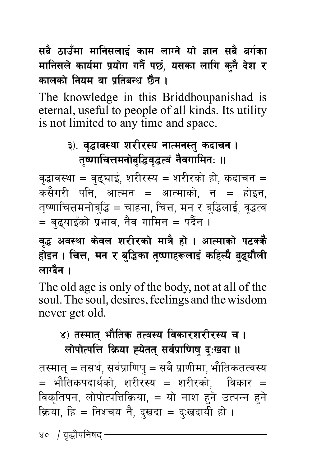सबै ठाउँमा मानिसलाई काम लाग्ने यो ज्ञान सबै **बर्ग**का मानिसले कार्यमा प्रयोग गर्नै पर्छ, यसका लागि कनै देश र कालको नियम वा प्रतिबन्ध **छैन** ।

The knowledge in this Briddhoupanishad is eternal, useful to people of all kinds. Its utility is not limited to any time and space.

# ३). वद्धावस्था शरीरस्य नात्मनस्तु कदाचन । तृष्णाचित्तमनोबुद्धिवृद्धत्वं नैवगामिनः **॥**

वृद्धावस्था = वृढ्घाइँ, शरीरस्य = शरीरको हो, कदाचन = कसैगरी पनि, आत्मन = आत्माको, न = होइन, तृष्णाचित्तमनोबुद्धि = चाहना, चित्त, मन र बुद्धिलाई, वृद्धत्व  $\overline{a} = \overline{a}$ द्याइँको प्रभाव, नैव गामिन = पर्दैन ।

### वद्ध अवस्था केवल शरीरको मात्रै हो । आत्माको पटक्क<mark>ै</mark> होइन । चित्त, मन र बुद्धिका तृष्णाहरूलाई कहिल्यै बुद्**यौली** लाग्<mark>टै</mark>न ।

The old age is only of the body, not at all of the soul. The soul, desires, feelings and the wisdom never get old.

#### ४) तस्मात भौतिक तत्वस्य विकारशरीरस्य च । लोपोत्पत्ति क्रिया ह्येतत् सर्वप्राणिषु दुःखदा ।।

तस्मात् = तसर्थ, सर्वप्राणिष् = सबै प्राणीमा, भौतिकतत्वस्य = भौतिकपदार्थको, शरीरस्य = शरीरको, विकार = विकृतिपन, लोपोत्पत्तिक्रिया, = यो नाश हुने उत्पन्न हुने क्रिया, हि = निश्चय नै, दुखदा = दु:खदायी हो ।

४० / वृद्धौपनिषद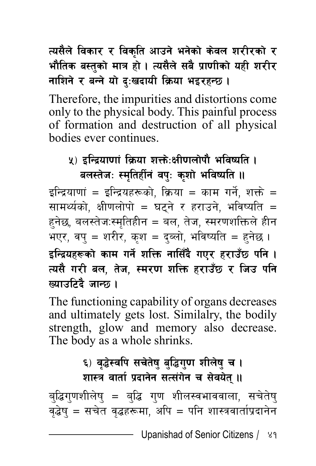# त्यसैले विकार र विकृति आउने भनेको केवल **शरीरको** र भौतिक बस्तुको मात्र हो । त्यसैले सबै प्राणीको यही शरी**र नाशिने र बन्ने यो द:खदायी क्रिया भइरहन्छ।**

Therefore, the impurities and distortions come only to the physical body. This painful process of formation and destruction of all physical bodies ever continues.

#### <u>५) इन्द्रियाणां क्रिया शक्तेः</u>क्षीणलोपौ भविष्यति । बलस्तेजः स्मतिर्हीनं वपुः कुशो भविष्यति **॥**

इन्द्रियाणां = इन्द्रियहरूको. क्रिया = काम गर्ने. शक्ते = सामर्थ्यको, क्षीणलोपो = घट्ने र हराउने, भविष्यति = हनेछ, बलस्तेज:स्मतिहीन = बल, तेज, स्मरणशक्तिले हीन भएर, वप = शरीर, कश = दब्लो, भविष्यति = हुनेछ । इन्द्रियहरूको काम गर्ने शक्ति नासिँदै गएर हराउँछ पनि **।** त्यसै गरी बल, तेज, स्मरण शक्ति हराउँछ र जिउ **प**नि *Voltage : बाल्क ।* 

The functioning capability of organs decreases and ultimately gets lost. Similalry, the bodily strength, glow and memory also decrease. The body as a whole shrinks.

# ६) वृद्धेस्वपि सचेतेषु बुद्धिगुण शीलेषु च । शास्त्र वार्ता प्रदानेन सत्संगेन च सेवयेत् ।।

ब्द्धिग्णशीलेष् = ब्द्धि ग्ण शीलस्वभाववाला, सचेतेष् जूदेष् = सचेत वृद्धहरूमा, अपि = पनि शास्त्रवार्ताप्रदानेन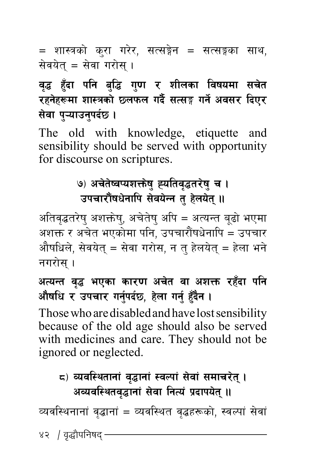= शास्त्रको कुरा गरेर, सत्सङ्गेन = सत्सङ्गका साथ, सेवयेत् = सेवा गरोस् ।

# वृद्ध हुँदा पनि बुद्धि गुण र शीलका विषयमा सचेत रहनेहरूमा शास्त्रको छ्लफल गर्दै सत्सङ्ग गर्ने अवसर **दिए**र **सेवा पऱ्याउनुपर्दछ ।**

The old with knowledge, etiquette and sensibility should be served with opportunity for discourse on scriptures.

# **(9) अचेतेष्वप्यशक्तेषु ह्यतिवृद्धतरेषु च ।** उपचारौंषधेनापि सेवयेन्न तु हेलयेत् ।।

अतिवृद्धतरेषु अशक्तेषु, अचेतेषु अपि = अत्यन्त बूढो भएमा अशक्त र अचेत भएकोमा पनि, उपचारौंषधेनापि = उपचार औषधिले, सेवयेत् = सेवा गरोस, न त हेलयेत् = हेला भने नगरोस $\,$  ।

# अत्यन्त वृद्ध भएका कारण अचेत वा अशक्त रहँदा पनि औषधि र उपचार गर्नुपर्दछ, हेला गर्नु हुँदैन ।

Those who are disabled and have lost sensibility because of the old age should also be served with medicines and care. They should not be ignored or neglected.

# **द) व्यवस्थितानां वृद्धानां स्वल्पां सेवां समाचरेत् ।** अव्यवस्थितवृद्धानां सेवा नित्यं प्रदापयेत् **॥**

व्यवस्थिनानां वृद्धानां = व्यवस्थित वृद्धहरूको, स्वल्पां सेवां

४२ *।* वृद्धौपनिषद -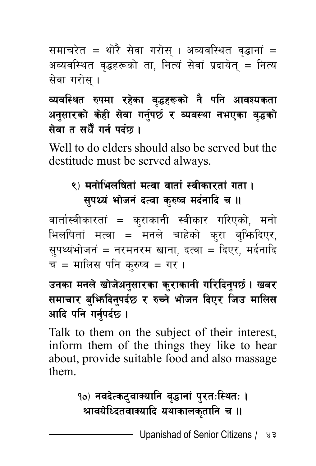समाचरेत = थोरै सेवा गरोस् । अव्यवस्थित वृद्धानां = अव्यवस्थित वृद्धहरूको ता, नित्यं सेवां प्रदायेत् = नित्य सेवा गरोस ।

# व्यवस्थित रुपमा रहेका वृद्धहरूको नै पनि आवश्यकता अनुसारको केही सेवा गर्नुपर्छ र व्यवस्था नभएका **व**ृदको **सेवा त सधैँ गर्न पर्दछ ।**

Well to do elders should also be served but the destitude must be served always.

# ९) मनोभिलषितां मत्वा वार्ता स्वीकारतां गता **। सपर्थ्य भोजनं दत्वा कुरुष्व मर्दनादि च ।।**

वार्तास्वीकारतां = कराकानी स्वीकार गरिएको, मनो भिलषितां मत्वा = मनले चाहेको क्रा ब्भिदिएर, सुपथ्यंभोजनं = नरमनरम खाना, दत्वा = दिएर, मर्दनादि च = मालिस पनि क्**रु**ष्व = गर ।

### उनका मनले खोजेअनुसारका कुराकानी गरिदिनुपर्छ । खबर समाचार बु**भिदिनुपर्दछ र रुच्ने भोजन दिएर जिउ मालिस** आदि पनि गर्नपर्दछ ।

Talk to them on the subject of their interest, inform them of the things they like to hear about, provide suitable food and also massage them.

# १०) नवदेत्कट्**वाक्यानि वद्धानां पुरतःस्थितः** । श्रावयेध्दितवाक्यादि यथाकालकृतानि च **॥**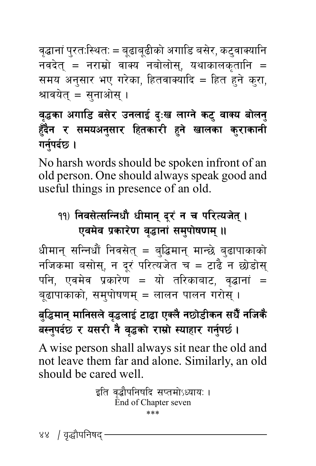वृद्धानां पुरत:स्थित: = बृढाबुढीको अगाडि बसेर, कटुवाक्यानि नवदेत् = नराम्रो वाक्य नबोलोस्, यथाकालकृतानि = समय अनुसार भए गरेका, हितवाक्यादि = हित हुने कुरा, श्रावयेत् $=$  सुनाओस् ।

# वृद्धका अगाडि बसेर उनलाई दुःख लाग्ने कट् वाक्य बोलन् हँदैन र समयअनुसार हितकारी हने खालका **कुराकानी गर्नुपर्दछ ।**

No harsh words should be spoken infront of an old person. One should always speak good and useful things in presence of an old.

# <u>१</u>१) निवसेत्सन्निधौ धीमान् दरं न च परित्यजेत् । एवमेव प्रकारेण वृद्धानां समुपोषणम् ॥

धीमान् सन्निधौं निवसेत् = ब्द्धिमान् मान्छे ब्ढापाकाको नजिकमा बसोस्, न दूरं परित्यजेत च = टाढै न छोडोस् पनि, एवमेव प्रकारेण = यो तरिकाबाट, वृद्धानां = बढापाकाको, समपोषणम् = लालन पालन गरोस् ।

# <u>बुद्धिमान् मानिसले वृद्धलाई टाढा एक्लै नछोडीकन सधैँ नजिकै</u> **a:gkb' 5 / o;/L g { j} 4sf [ /fd ] f| :ofxf/ ug ] k5{' . {**

A wise person shall always sit near the old and not leave them far and alone. Similarly, an old should be cared well.

> इति वद्धौपनिषदि सप्तमोऽध्यायः । End of Chapter seven \*\*\*

४४ / वृद्धौपनिषद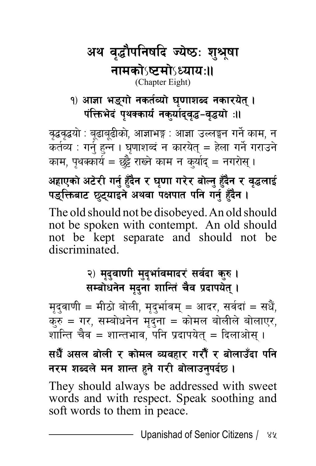### अथ वृद्धौपनिषदि ज्येष्ठः शुश्रूषा **gfdsf]**˜**i6df]**˜**WofoM..** (Chapter Eight)

1) आज्ञा भङ्गो नकर्तव्यो घुणाशब्द नकारयेत् । पंक्तिभेदं पथक्कार्यं नकर्यादवद्ध-वद्धयो**ः**॥

वृद्धवृद्धयो : बूढाबूढीको, आज्ञाभङ्ग : आज्ञा उल्लङ्घन गर्ने काम, न कर्तव्य : गर्नु हुन्न । घृणाशब्दं न कारयेत् = हेला गर्ने गराउने काम, पुथक्कार्य = छुट्टै राख्ने काम न कुर्याद = नगरोस् ।

**cxfPsf | c6 ] /L ug ] x{' b"'g / 3 } 0ff u/ [ / af ] Ng] x' b"'g / j } 4nfO [ { kªlQmaf6 5 \ 6' ofOg \ cyjf kIfkft klg ug ] x{' b"'g . }**

The old should not be disobeyed. An old should not be spoken with contempt. An old should not be kept separate and should not be discriminated.

### २) मृदुवाणी मुदृर्भावमादरं सर्वदा कुरु <mark>।</mark> **सम्बोधनेन मृदुना शान्ति चैव प्रदापयेत्** ।

मृद्वाणी = मीठो बोली, मृदुर्भावम् = आदर, सर्वदां = सधैं, करु = गर, सम्बोधनेन मृद्ना = कोमल बोलीले बोलाएर, शान्ति चैव = शान्तभाव, पनि प्रदापयेत् = दिलाओस् ।

सधैँ असल बोली र कोमल व्यवहार गरौँ र बोलाउँदा **प**नि **नरम शब्दले मन शान्त हुने गरी बोलाउनुपर्दछ।** 

They should always be addressed with sweet words and with respect. Speak soothing and soft words to them in peace.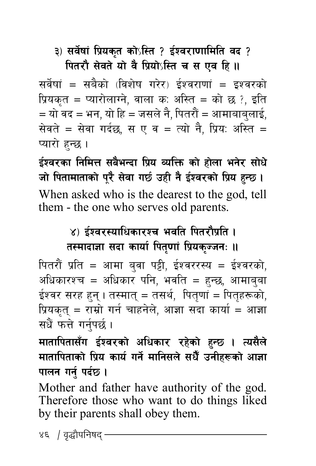#### ३) सर्वेषां प्रियकृत कोऽस्ति ? ईश्वराणामिति वद ? **पितरौ सेवते यो वै प्रियो**ऽस्ति च स एव हि ।।

सर्वेषां = सबैको (विशेष गरेर) ईश्वराणां = इश्वरको प्रियकृत = प्यारोलाग्ने, वाला क: अस्ति = को छ ?, इति  $\overline{\phantom{a}}$  = भ $\overline{\phantom{a}}$ न, यो हि = जसले नै, पितरौं = आमाबाबुलाई, सेवते = सेवा गर्दछ, स ए व = त्यो नै, प्रिय: अस्ति = प्यारो हन्छ ।

 $\frac{1}{2}$  ईश्वरका निमित्त सबैभन्दा प्रिय व्यक्ति को होला भनेर सोधे **hf lktfdftfsf ] k] /" ;} jf u5 ] pxL g { O} Zj/sf { lk] o x | G5 . '** When asked who is the dearest to the god, tell them - the one who serves old parents.

### ४) ईश्वरस्याधिकारश्च भवति पितरौप्रति **।** तस्मादाज्ञा सदा कार्या पितृणां प्रियकुज्जनः **॥**

पितरौं प्रति = आमा ब्**वा पट्टी, ईश्वररस्य = ईश्वरको**, अधिकारश्च = अधिकार पनि, भवति = हुन्छ, आमाब्**बा** ईश्वर सरह हुन् । तस्मात् = तसर्थ, पितृणां = पितृहरूको, प्रियकत् = राम्रो गर्न चाहनेले, आज्ञा सदा कार्या = आज्ञा सधैं फत्ते गर्नपर्छ ।

मातापितासँग ईश्वरको अधिकार रहेको हुन्छ । त्यसैले मातापिताको प्रिय कार्य गर्ने मानिसले सधैँ उनीहरूको आज्ञा **पालन** गर्न् पर्दछ ।

Mother and father have authority of the god. Therefore those who want to do things liked by their parents shall obey them.

४६ *।* वृद्धौपनिषद<sup>्</sup>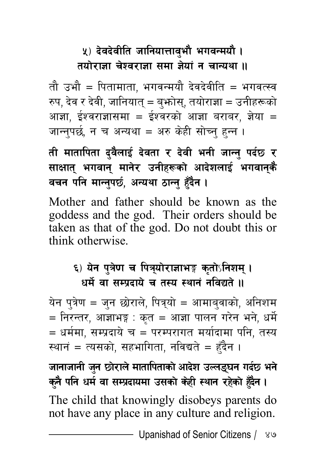# <u>५</u>) देवदेवीति जानियात्तावृभौ भगवन्मयौ । तयोराजा चेश्वराजा समा जेयां न चान्यथा **॥**

तौ उभौ = पितामाता. भगवन्मयौ देवदेवीति = भगवत्स्व रुप, देव र देवी, जानियात् = बुफोस्, तयोराज्ञा = उनीहरूको आज्ञा, ईश्वराज्ञासमा = ईश्वरको आज्ञा बराबर, ज्ञेया = जान्तुपर्छ, न च अन्यथा = अरु केही सोच्नु हुन्न ।

<u>ती मातापिता दु</u>वैलाई देवता र देवी भनी जान्नु पर्दछ र **साक्षात् भगवान् मानेर उनीहरूको आदेशलाई भगवान्**कै वचन पनि मान्नुपर्छ, अन्यथा ठान्न् हँदैन ।

Mother and father should be known as the goddess and the god. Their orders should be taken as that of the god. Do not doubt this or think otherwise.

#### ६) येन पत्रेण च पित्र्योराज्ञाभङ्ग कर्तोऽनिशम् । <u>धर्मे वा सम्प्रदाये च तस्य स्थानं नविद्यते ॥</u>

येन पुत्रेण = जुन छोराले, पित्र्यो = आमाबुवाको, अनिशम  $\overline{a}$  = निरन्तर, आज्ञाभङ्ग : कृत = आज्ञा पालन गरेन भने, धर्मे = धर्ममा, सम्प्रदाये च = परम्परागत मर्यादामा पनि, तस्य स्थानं = त्यसको, सहभागिता, नविद्यते = हँदैन ।

**hfgfhfgL hg 5f ' /fn] dftflktfsf ] cfb ] z pNnª ] 3g ub \ 5 eg { ] sg' klg wd } jf ;Dk { bfodf p;sf | s] xL :yfg /x ] sf ] x] b"'g . }**

The child that knowingly disobeys parents do not have any place in any culture and religion.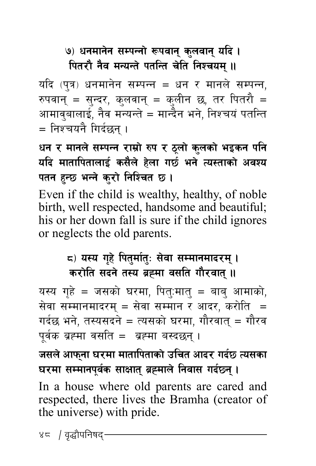# ७) धनमानेन सम्पन्नो रूपवान् कुलवान् यदि । **पितरौ नैव मन्यन्ते पतन्ति चेति निश्चयम् ।।**

यदि (पुत्र) धनमानेन सम्पन्न = धन र मानले सम्पन्न, रुपवान् = सुन्दर, कुलवान् = कुलीन छ, तर पितरौ = आमावुबालाई, नैव मन्यन्ते = मान्दैन भने, निश्चयं पतन्ति = निश्चयनै गिर्दछन ।

# धन र मानले सम्पन्न राम्रो रुप र ठुलो कुलको भइकन पनि यदि मातापितालाई कसैले हेला गर्छ भने त्यस्ताको अवश्य पतन हुन्छ भन्ने कुरो निश्चित छ ।

Even if the child is wealthy, healthy, of noble birth, well respected, handsome and beautiful; his or her down fall is sure if the child ignores or neglects the old parents.

#### $\boldsymbol{\epsilon}$ ) यस्य गृहे पितुर्मातुः सेवा सम्मानमादरम् । करोति सदने तस्य ब्रह्मा वसति गौरवात् **॥**

यस्य गृहे = जसको घरमा, पित्:मात् = बाब् आमाको, सेवा सम्मानमादरम् = सेवा सम्मान र आदर, करोति  $=$ गर्दछ भने, तस्यसदने = त्यसको घरमा, गौरवात् = गौरव पर्वक ब्रह्मा वसति = ब्रह्मा बस्दछन्।

जसले आफ्**ना घरमा मातापिताको उचित आदर गर्दछ त्यसका 3/df ;Ddfgkj" s ;fIfft { a\ Ådfn | lgjf; ub ] 5g { .\**

In a house where old parents are cared and respected, there lives the Bramha (creator of the universe) with pride.

४८ / वृद्धौपनिषद<sup>्</sup>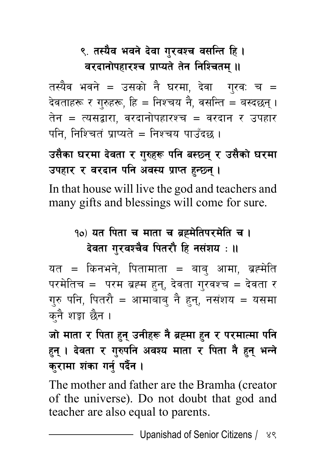# ९. तस्यैव भवने देवा गुरवश्च वसन्ति हि **।** वरदानोपहारश्च प्राप्यते तेन निश्चितम् **॥**

तस्यैव भवने = उसको नै घरमा, देवा गरव: च = देवताहरू र गुरुहरू, हि = निश्चय नै, वसन्ति = बस्दछन् । तेन = त्यसद्वारा, वरदानोपहारश्च = वरदान र उपहार पनि. निश्चितं प्राप्यते = निश्चय पाउँदछ ।

# उसैका घरमा देवता र गुरुहरू पनि बस्छ्नु र उसैको घरमा उपहार र वरदान पनि अवस्य प्राप्त हुन्छन् ।

In that house will live the god and teachers and many gifts and blessings will come for sure.

# **१०) यत पिता च माता च ब्रह्मेतिपरमेति च ।** देवता गुरवश्चैव पितरौ हि नसंशय : **॥**

यत = किनभने, पितामाता = बाब् आमा, ब्रह्मेति परमेतिच = परम ब्रह्म हुन्, देवता गुरवश्च = देवता र गुरु पनि, पितरौ = आमाबाब् नै हुन्, नसंशय = यसमा कनै शङ्का छैन ।

# जो माता र पिता हुन् उनीहरू नै ब्रह्मा हुन र परमात्मा पनि हन् । देवता र गुरुपनि अवश्य माता र पिता नै हुन् भन्ने कुरामा शंका गर्नु पर्दैन ।

The mother and father are the Bramha (creator of the universe). Do not doubt that god and teacher are also equal to parents.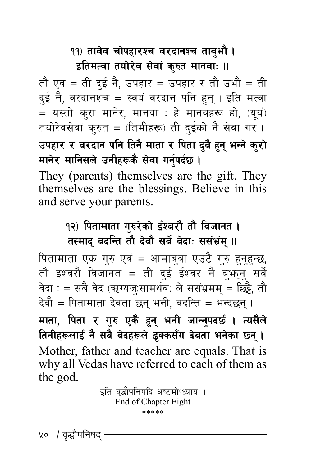#### <u>११) तावेव चोपहारश्च वरदानश्च तावभौ ।</u> इतिमत्वा तयोरेव सेवां कुरुत मानवाः ॥

तौ एव = ती दुई नै, उपहार = उपहार र तौ उभौ = ती दई नै, वरदानश्च = स्वयं वरदान पनि हुन् । इति मत्वा  $=$  यस्तो करा मानेर, मानवा : हे मानवहरू हो, (यूयं) तयोरेवसेवां कुरुत = (तिमीहरू) ती दुईको नै सेवा गर । उपहार र वरदान पनि तिनै माता र पिता दुवै हुन् भन्ने कुरो **मानेर मानिसले उनीहरूकै सेवा गर्नुपर्दछ।** 

They (parents) themselves are the gift. They themselves are the blessings. Believe in this and serve your parents.

#### <u>१२) पितामाता गुरुरेको ईश्वरौ तौ विजानत ।</u> तस्माद् वदन्ति तौ देवौ सर्वे वेदाः ससंभ्रंम् **॥**

पितामाता एक गुरु एवं = आमाबुवा एउटै गुरु हुनुहुन्छ, तौ इश्वरौ विजानत = ती दुई ईश्वर नै बु<mark>भन्</mark>नु सर्वे वेदा : = सबै वेद (ऋग्यज:सामर्थव) ले ससंभ्रमम् = छिट्टै, तौ देवौ = पितामाता देवता छन् भनी, वदन्ति = भन्दछन् । माता, पिता र गुरु एकै हुन् भनी जान्नुपदर्छ । त्यसैले **तिनीहरूलाई नै सबै वेदहरूले द्वकसँग देवता भनेका छ्न् ।** Mother, father and teacher are equals. That is why all Vedas have referred to each of them as the god.

> इति वृद्धौपनिषदि अष्टमोऽध्याय: । End of Chapter Eight \*\*\*\*\*

५० / वृद्धौपनिषद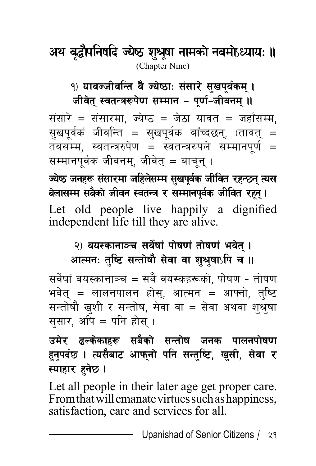# अथ वृद्धौपनिषदि ज्येष्ठ शुश्रूषा नामको नवमोऽध्यायः ॥ (Chapter Nine)

<u>१</u>) यावज्जीवन्ति वै ज्येष्ठाः संसारे सुखपुर्वकम् । जीवेत् स्वतन्त्ररूपेण सम्मान **– पूर्ण-जीवनम्** ॥

संसारे = संसारमा, ज्येष्ठ = जेठा यावत = जहाँसम्म, सखपर्वकं जीवन्ति = सखपर्वक बाँच्दछन्, (तावत् = तवसम्म, स्वतन्त्ररुपेण = स्वतन्त्ररुपले सम्मानपर्ण = सम्मानपर्वक जीवनम, जीवेत = बाचन ।

 $\vec{v}$ च्येष्ठ जनहरू संसारमा जहिलेसम्म सुखपूर्वक जीवित रहन्छन् त्यस **anf;Dd ;a ] sf } hLjg :jtGq / ;Ddfgk ] j"s hLljt /x { g" .\** Let old people live happily a dignified independent life till they are alive.

#### २) वयस्कानाञ्च सर्वेषां पोषणं तोषणं भवेत् । आत्मनः तुष्टि सन्तोषौ सेवा वा शुश्रुषाऽपि च **॥**

सर्वेषां वयस्कानाञ्च = सबै वयस्कहरूको, पोषण - तोषण भवेत् = लालनपालन होस्, आत्मन = आफ्नो, तुष्टि सन्तोषौ खुशी र सन्तोष, सेवा वा = सेवा अथवा श्श्रुषा स्*सार, अपि = पनि होस् ।* 

उमेर ढल्केकाहरू सबैको सन्तोष जनक पालनपोषणा हनुपर्दछ । त्यसैबाट आफ्**नो पनि सन्तुष्टि, खुसी, सेवा** र स्याहार हुनेछ **।** 

Let all people in their later age get proper care. From that will emanate virtues such as happiness, satisfaction, care and services for all.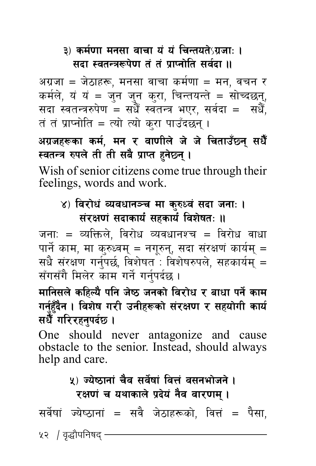#### $3)$  कर्मणा मनसा वाचा यं यं चिन्तयतेऽग्रजाः । **सदा स्वतन्त्ररूपेण तं तं प्राप्तोति सर्वदा ॥**

अग्रजा = जेठाहरू, मनसा वाचा कर्मणा = मन, वचन र कर्मले, यं यं = जुन जुन कुरा, चिन्तयन्ते = सोच्दछन्,<br>सदा स्वतन्त्ररुपेण = सधैँ स्वतन्त्र भएर, सर्वदा = सधैँ,<br>तं तं प्राप्नोति = त्यो त्यो करा पाउँदछन ।

अग्रजह<mark>रूका कर्म, मन र वाणीले जे जे चिताउँछ्न् सधैँ</mark><br>स्वतन्त्र रुपले ती ती सबै प्राप्त हनेछ्न् ।

Wish of senior citizens come true through their feelings, words and work.

#### ४) विरोधं व्यवधानञ्च मा कुरुध्वं सदा जना: । संरक्षणं सदाकार्यं सहकार्यं विशेषतः ॥

जना: = व्यक्तिले, विरोध व्यवधानश्च = विरोध वाधा पार्ने काम, मा क्रुध्वम् = नगूरुन्, सदा संरक्षणं कार्यम् = सधै संरक्षण गर्नुपर्छ, विशेषत : विशेषरुपले, सहकार्यम् = सँगसँगै मिलेर काम गर्ने गर्नपर्दछ ।

मानिसले कहिल्यै पनि जेष्ठ जनको विरोध र बाधा पर्ने काम गर्नुहुँदैन । विशेष गरी उनीहरूको संरक्षण र सहयोगी कार्य<br>सधैँ गरिरहनपर्दछ ।

One should never antagonize and cause obstacle to the senior. Instead, should always help and care.

#### <u>५) ज्येष्ठानां चैव सर्वेषां वित्तं वसनभोजने ।</u> **रक्षणं च यथाकाले प्रदेयं नैव वारणम्** ।

सर्वेषां ज्येष्ठानां = सवै जेठाहरूको. वित्तं = पैसा.

५२ *।* वृद्धौपनिषद<sup>्</sup>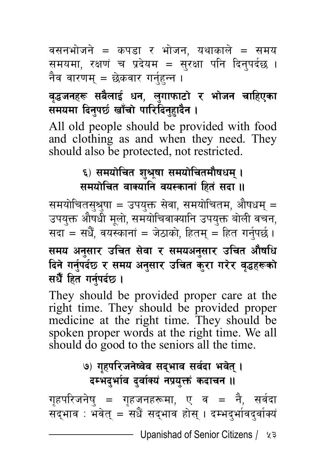वसनभोजने = कपडा र भोजन, यथाकाले = समय समयमा, रक्षणं च प्रदेयम = सुरक्षा पनि दिनुपर्दछ । नैव वारणम् = छेकवार गर्नुहन्न ।

### वृद्धजनहरू सबैलाई धन, लुगाफाटो र भोजन चाहिएका **समयमा दिनपर्छ खाँचो पारिदिनहादैन ।**

All old people should be provided with food and clothing as and when they need. They should also be protected, not restricted.

#### ६) समयोचित शुश्रृषा समयोचितमौषधम् **। समयोचित वाक्यानि वयस्कानां हितं सदा ।।**

समयोचितस्श्र्षा = उपयुक्त सेवा, समयोचितम, औषधम् = उपयुक्त औषधी मूलो, समयोचिवाक्यानि उपयुक्त बोली वचन, सदा = सधैँ, वयस्कानां = जेठाको, हितम् = हित गर्नपर्छ ।

समय अनुसार उचित सेवा र समयअनुसार उचित औषधि दिने गर्नुपर्दछ र समय अनुसार उचित कुरा गरेर वृद्धहरूको सधैँ हित गर्नपर्दछ ।

They should be provided proper care at the right time. They should be provided proper medicine at the right time. They should be spoken proper words at the right time. We all should do good to the seniors all the time.

# **(b) गृहपरिजनेष्वेव सद्भाव सर्वदा भवेत् । दम्भदर्भाव दर्वाक्यं नप्रयक्तं कदाचन ।।**

गृहपरिजनेषु = गृहजनहरूमा, ए व = नै, सर्वदा सद्भाव : भवेत् = सधैं सद्भाव होस् । दम्भद्भांवद्वांक्यं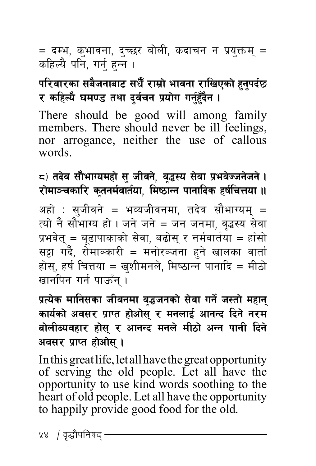= दम्भ, क्भावना, दच्छर बोली, कदाचन न प्रयक्तम *=* कहिल्यै पनि, गर्न हन्न ।

# परिवारका सबैजनाबाट सधैँ राम्रो भावना राखिएको हनपर्दछ र कहिल्यै घमण्ड तथा दुर्वचन प्रयोग गर्नुहँदैन ।

There should be good will among family members. There should never be ill feelings, nor arrogance, neither the use of callous words.

 $\boldsymbol{\epsilon}$ ) तदेव सौभाग्यमहो सु जीवने, वृद्धस्य सेवा प्रभवेज्जनेजने । **/fdf~rsfl/ s ] tgd [ jft { of, ldi7fGg kfgflbs xif { lrQof .. {**

अहो : सुजीवने = भव्यजीवनमा, तदेव सौभाग्यम् = त्यो नै सौभाग्य हो । जने जने = जन जनमा, वृद्धस्य सेवा प्रभवेत् = बृढापाकाको सेवा, बढोस् र नर्मवार्तया = हाँसो सट्टा गर्दै, रोमाञ्कारी = मनोरञ्जना हुने खालका वार्ता होस्, हर्ष चित्तया = खुशीमनले, मिष्ठान्न पानादि = मीठो खानपिन गर्न पाऊँन ।

प्रत्येक मानिसका जीवनमा वृद्धजनको सेवा गर्ने जस्तो महान् कार्यको अवसर प्राप्त होओस् र मनलाई आनन्द दिने नरम बोलीब्यवहार होस् र आनन्द मनले मीठो अन्न पानी दिने अवसर प्राप्त होओस् ।

In this great life, let all have the great opportunity of serving the old people. Let all have the opportunity to use kind words soothing to the heart of old people. Let all have the opportunity to happily provide good food for the old.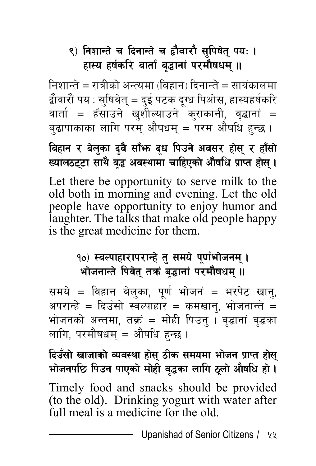# ९) निशान्ते च दिनान्ते च द्वौवारौ सुपिषेत् पयः **।** हास्य हर्षकरि वार्ता वृद्धानां परमौषधम् **॥**

निशान्ते = रात्रीको अन्त्यमा (बिहान) दिनान्ते = सायंकालमा द्वौवारौं पय : सुषिवेत् = दुई पटक दूग्ध पिओस, हास्यहर्षकरि वार्ता = हँसाउने खुशील्याउने कुराकानी, वृद्धानां = बुढापाकाका लागि परम् औषधम् = परम औषधि हन्छ ।

**ljxfg / an] sf b ' j' ;f } em b " w lkpg " cj;/ xf ] ;] / xf \ ;f " ] Vofn766f ;fy \ j} 4 cj:yfdf rflxPsf [ cf ] iflw k } fKt xf | ;] .\**

Let there be opportunity to serve milk to the old both in morning and evening. Let the old people have opportunity to enjoy humor and laughter. The talks that make old people happy is the great medicine for them.

### १०) स्वल्पाहारापरान्हे त् समये पर्णभोजनम । **भोजनान्ते पिवेत् तक्रं बृद्धानां परमौषधम् ।।**

समये = विहान बेलुका, पूर्ण भोजनं = भरपेट खानु, अपरान्हे = दिउँसो स्वल्पाहार = कमखानु, भोजनान्ते = भोजनको अन्तमा, तक्रं = मोही पिउन् । वृद्धानां वृद्धका लागि, परमौषधम् = औषधि हन्छ ।

**lbp;f " vfhfsf ] Joj:yf xf ] ;] 7Ls ;dodf ef \ hg k ] fKt xf | ;] \ efhgkl5 lkpg kfPsf ] df ] xL j ] 4sf nflu 7 [ nf " cf ] iflw xf } .]**

Timely food and snacks should be provided (to the old). Drinking yogurt with water after full meal is a medicine for the old.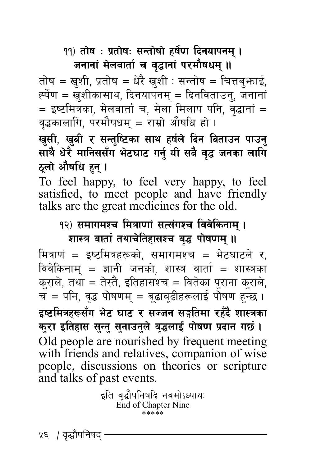#### <u>११) तोष : प्रतोषः सन्तोषो हर्षेण दिनयापनम् ।</u> जनानां मेलवार्ता च वृद्धानां परमौषधम् **॥**

तोष = खुशी, प्रतोष = धेरै खुशी : सन्तोष = चित्तबुभ्राई,<br>र्ह्येण = खुशीकासाथ, दिनयापनम् = दिनविताउनु, जनानां<br>= इष्टमित्रका, मेलवार्ता च, मेला मिलाप पनि, वद्धानां = वृद्धकालागि, परमौषधम् = राम्रो औषधि हो ।

खुसी, खुबी र सन्तुष्टिका साथ हर्षले द<mark>िन बिताउन पाउनु</mark><br>साथै धेरै मानिससँग भेटघाट गर्न् यी सबै वृद्ध जनका लागि **ठलो औषधि हन ।** 

To feel happy, to feel very happy, to feel satisfied, to meet people and have friendly talks are the great medicines for the old.

# १२) समागमश्च मित्राणां सत्संगश्च विवेकिनाम् ।

**शास्त्र वार्ता तथाचेतिहासश्च वृद्ध पोषणम् ॥** 

मित्राणं = इष्टमित्रहरूको, समागमश्च = भेटघाटले र,<br>विवेकिनाम् = ज्ञानी जनको, शास्त्र वार्ता = शास्त्रका<br>कुराले, तथा = तेस्तै, इतिहासश्च = वितेका पुराना कुराले,<br>च = पनि, वृद्ध पोषणम् = बृढाबुढीहरूलाई पोषण हन्छ । इष्टमित्रहरूसँग भेट घाट र सज्जन सङ्गतिमा रहँदै शास्त्रक<mark>ा</mark> कुरा इतिहास सुन्तु सुनाउनुले वृद्धलाई पोषण प्रदान गर्छ । Old people are nourished by frequent meeting with friends and relatives, companion of wise people, discussions on theories or scripture and talks of past events.

> इति वृद्धौपनिषदि नवमोऽध्यायः End of Chapter Nine \*\*\*\*\*

५६ / वृद्धौपनिषद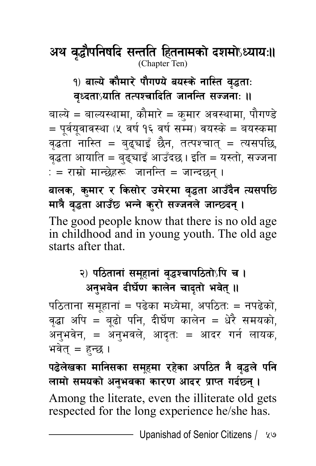अथ वृद्धौपनिषदि सन्तति हितनामको दशमोऽध्यायः॥ (Chapter Ten)

१) बाल्ये कौमारे पौगण्ये बयस्के नास्ति वृद्धता: वृध्दता**्रयाति तत्पश्चादिति जानन्ति सज्जनाः** ॥

बाल्ये = बाल्यस्थामा, कौमारे = कुमार अवस्थामा, पौगण्डे  $=$  पूर्वयूवावस्था (५) वर्ष १६ वर्ष सम्म) वयस्के = बयस्कमा वृद्धता नास्ति = बुढ्याइँ छैन, तत्पश्चात् = त्यसपछि, वृद्धता आयाति = बढ्घाइँ आउँदछ। इति = यस्तो, सज्जना : = राम्रो मान्छेहरू जानन्ति = जान्दछन् ।

बालक, कुमार र किसोर उमेरमा वृद्धता आउँदैन त्यसपछि मात्रै वृद्धता आउँछ भन्ने कुरो सज्जनले जान्छदन् ।

The good people know that there is no old age in childhood and in young youth. The old age starts after that.

#### २) पठितानां समूहानां वृद्धश्चापठितोऽपि च **।** अनुभवेन दीर्घेण कालेन चादृतो भवेत् ।।

पठिताना समूहानां = पढेका मध्येमा, अपठितः = नपढेको, वृद्धा अपि = बूढो पनि, दीर्घण कालेन = धेरै समयको, अनुभवेन, = अनुभवले, आदुत: = आदर गर्न लायक, भवेत् $=$  हन्छ ।

पढेलेखका मानिसका समूहमा रहेका अपठित नै वृद्धले पनि लामो समयको अनभवका कारण आदर प्राप्त गर्दछन । Among the literate, even the illiterate old gets respected for the long experience he/she has.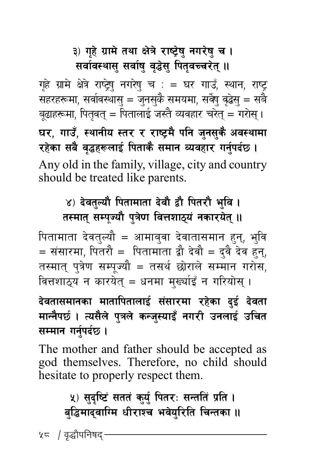## ३) गहे ग्रामे तथा क्षेत्रे राष्ट्रेषु नगरेषु च । **सर्वावस्थासु सर्वाषु वृद्धेसु पितृवच्चरेत् ॥**

गृहे ग्रामे क्षेत्रे राष्ट्रेषु नगरेषु च : = घर गाउँ, स्थान, राष्ट् सहरहरूमा, सर्वावस्थासु = जुनसुकै समयमा, सर्वेषु वृद्धेसु = सबै बूढाहरूमा, पितृवत् = पितालाई जस्तै व्यवहार चरेत् = गरोस् । घर, गाउँ, स्थानीय स्तर र राष्ट्रमै पनि जुनसुकै अवस्थामा रहेका सबै वृद्धहरूलाई पिताकै समान व्यवहार गर्नुपर्दछ । Any old in the family, village, city and country should be treated like parents.

# ४) देवतुल्यौ पितामाता देवौ द्वौ पितरौ भुवि । तस्मात् सम्पूज्यौ पुत्रेण वित्तशाठ्**यं नकारयेत्** ॥

पितामाता देवतुल्यौ = आमाबुवा देवातासमान हुन्, भुवि  $\dot{} =$  संसारमा, पितरौ = पितामाता द्वौ देवौ = द्वै देव हन्, तस्मात् पुत्रेण सम्पूज्यौ = तसर्थ छोराले सम्मान गरोस, वित्तशाठुय न कारयेत् = धनमा मुर्ख्याइँ न गरियोस् ।

## देवतासमानका मातापितालाई संसारमा रहेका दुई देवता मान्नैपर्छ । त्यसैले पुत्रले कन्जुस्याइँ नगरी उनलाई उचित सम्मान गर्नुपर्दछ ।

The mother and father should be accepted as god themselves. Therefore, no child should hesitate to properly respect them.

### **५) सुदृष्टिं सततं कुर्यु पितरः सन्ततिं प्रति ।** बद्धिमादवाग्मि धीराश्च भवेयरिति चिन्तका **॥**

५ = / वृद्धौपनिषद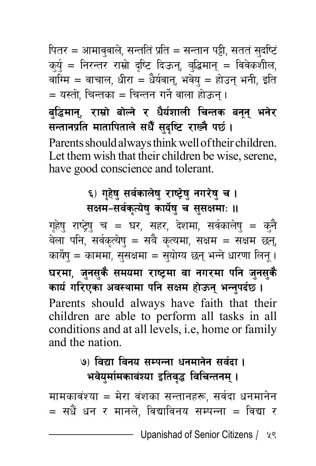पितर = आमाववाले, सन्तति प्रति = सन्तान पट्टी, सततं सुदर्ष्टि क्यु = निरन्तर राम्रो दृष्टि दिऊन्, बुद्धिमान् = विवेकशील, वाग्मि = वाचाल, धीरा = धैर्यवान्, भवेय् = होउन् भनी, इति  $\dot{} =$  यस्तो. चिन्तका = चिन्तन गर्ने वाला होऊन् ।

बुद्धिमान्, राम्रो बोल्ने र धैर्यशाली चिन्तक बनून् भनेर सन्तानप्रति मातापिताले सधैँ सुदृष्टि राख्नै पर्छ। Parents should always think well of their children. Let them wish that their children be wise, serene, have good conscience and tolerant.

#### ६) गृहेषु सर्वकालेषु राष्ट्रेषु नगरेषु च **।** सक्षम-सर्वकृत्येषु कार्येषु च सुसक्षमाः ॥

गृहेषु राष्ट्रेषु च = घर, सहर, देशमा, सर्वकालेषु = कुनै बेला पनि, सर्वकृत्येष् = सबै कृत्यमा, सक्षम = सक्षम छन्, कार्येष् = काममा, सुसक्षमा = सुयोग्य छन् भन्ने धारणा लिन् । घरमा, जुनसुकै समयमा राष्ट्रमा वा नगरमा पनि जुनसुकै कार्य गरिएका अवस्थामा पनि सक्षम होऊन् भन्नुपर्दछ । Parents should always have faith that their children are able to perform all tasks in all conditions and at all levels, i.e, home or family and the nation.

## **(9) विद्या विनय सम्पन्ना धनमानेन सर्वदा।** भवेयुर्मामकावंश्या इतिवृद्ध विचिन्तनम् **।**

मामकावंश्या = मेरा वंशका सन्तानहरू, सर्वदा धनमानेन  $=$  सधैं धन र मानले. विद्याविनय सम्पन्ना = विद्या र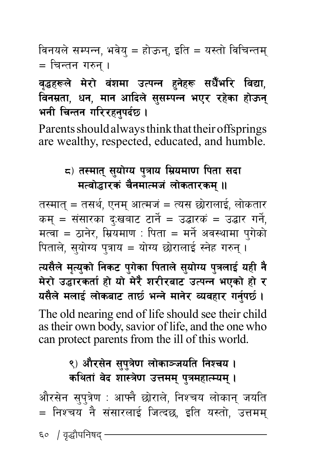विनयले सम्पन्न, भवेय् = होऊन्, इति = यस्तो विचिन्तम् = चिन्तन गरुन ।

#### वढ़हरूले मेरो वंशमा उत्पन्न हनेहरू सधैँभरि विद्या, विनम्रता, धन, मान आदिले सुसम्पन्न भएर रहेका होऊन भनी चिन्तन गरिरहनपर्दछ ।

Parents should always think that their offsprings are wealthy, respected, educated, and humble.

#### ८) तस्मात् सुयोग्य पुत्राय म्रियमाण पिता सदा मत्वोद्धारकं चैनमात्मजं लोकतारकम् ॥

तस्मात् = तसर्थ, एनम् आत्मजं = त्यस छोरालाई, लोकतार कम् = संसारका दु:खबाट टार्ने = उद्धारकं = उद्धार गर्ने, मत्वा = ठानेर, म्रियमाण : पिता = मर्ने अवस्थामा पुगेको पिताले, सुयोग्य पुत्राय = योग्य छोरालाई स्नेह गरुन्।

त्यसैले मृत्युको निकट पुगेका पिताले सुयोग्य पुत्रलाई यही नै मेरो उद्धारकर्ता हो यो मेरै शरीरबाट उत्पन्न भएको हो र यसैले मलाई लोकबाट तार्छ भन्ने मानेर व्यवहार गर्नुपर्छ।

The old nearing end of life should see their child as their own body, savior of life, and the one who can protect parents from the ill of this world.

### ९) औरसेन सुपुत्रेण लोकाञ्जयति निश्चय । कथितां वेद शास्त्रेण उत्तमम् पुत्रमहात्म्यम् ।

औरसेन सुप्त्रेण : आफ्नै छोराले, निश्चय लोकान् जयति = निश्चय नै संसारलाई जित्दछ, इति यस्तो, उत्तमम्

६० *|* वृद्धौपनिषद<sup>्</sup>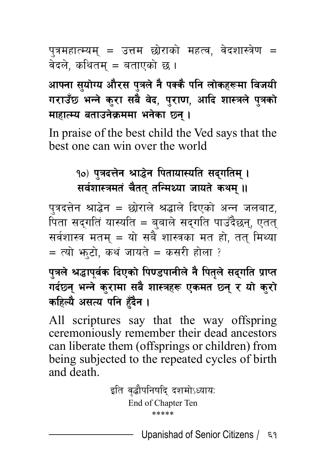पुत्रमहात्म्यम् = उत्तम छोराको महत्व, वेदशास्त्रेण = वेदले, कथितम् = बताएको छ ।

आफ्ना सुयोग्य औरस पुत्रले नै पक्कै पनि लोकहरूमा विजयी गराउँछ भन्ने कुरा सबै वेद, पुराण, आदि शास्त्रले पुत्रको **माहात्म्य बताउनेक्रममा भनेका छ्न।** 

In praise of the best child the Ved says that the best one can win over the world

# १०) पत्रदत्तेन श्राद्धेन पितायास्यति सदगतिम् । **सर्वशास्त्रमतं चैतत तन्मिथ्या जायते कथम ।।**

पत्रदत्तेन श्राद्धेन = छोराले श्रद्धाले दिएको अन्न जलबाट, पिता सद्गतिं यास्यति = बबाले सदगति पाउँदैछन्, एतत सर्वशास्त्र मतम् = यो सबै शास्त्रका मत हो, तत् मिथ्या  $=$   $\overline{c}$ यो भाटो, कथं जायते = कसरी होला ?

पत्रले श्रद्धापूर्वक दिएको पिण्डपानीले नै पितुले सदुगति प्राप्त गर्दछन् भन्ने कुरामा सबै शास्त्रहरू एकमत छन् र यो कुरो कहिल्यै असत्य पनि हुँदै**न** ।

All scriptures say that the way offspring ceremoniously remember their dead ancestors can liberate them (offsprings or children) from being subjected to the repeated cycles of birth and death.

> इति वद्धौपनिषदि दशमोऽध्यायः End of Chapter Ten \*\*\*\*\*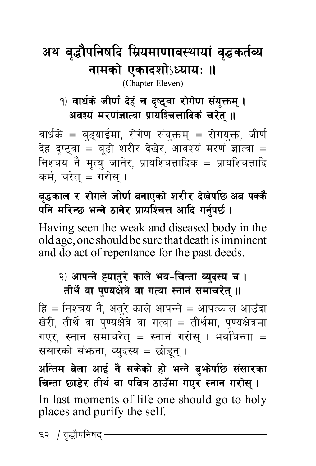# अथ वृद्धौपनिषदि म्रियमाणावस्थायां बृद्धकर्तव्य **नामको एकादशो**ऽध्यायः ॥

(Chapter Eleven)

#### 9) वार्धके जीर्ण देहं च दृष्ट्वा रोगेण संयुक्तम् । अवश्यं मरणंज्ञात्वा प्रायश्चित्तादिकं चरेत् **॥**

वार्धके = बुढ्याईमा, रोगेण संयुक्तम् = रोगयुक्त, जीर्ण देहं दृष्ट्वा = बूढो शरीर देखेर, आवश्यं मरणं ज्ञात्वा = निश्चय नै मृत्य् जानेर, प्रायश्चित्तादिकं = प्रायश्चितादि कर्म, चरेत = गरोस ।

#### वद्धकाल र रोगले जीर्ण बनाएको शरीर देखेपछि अब पक्कै पनि मरिन्छ भन्ने ठानेर प्रायश्चित्त आदि गर्नुपर्छ ।

Having seen the weak and diseased body in the old age, one should be sure that death is imminent and do act of repentance for the past deeds.

#### २) आपन्ने ह्यातुरे काले भव-चिन्तां व्युदस्य च । तीर्थे वा पुण्यक्षेत्रे वा गत्वा स्नानं समाचरेत् **॥**

हि = निश्चय नै, अत्**रे काले आपन्ने = आपत्काल आउँ**दा खेरी, तीर्थे वा पुण्यक्षेत्रे वा गत्वा = तीर्थमा, पुण्यक्षेत्रमा गएर, स्नान समाचरेत् = स्नानं गरोस् । भवचिन्तां = संसारको संभाना, ब्युदस्य = छोडून् ।

अन्तिम बेला आई नै सकेको हो भन्ने बु**भोपछि संसारका** चिन्ता छाडेर तीर्थ वा पवित्र ठाउँमा गएर स्नान गरोस् । In last moments of life one should go to holy places and purify the self.

६२ / वृद्धौपनिषद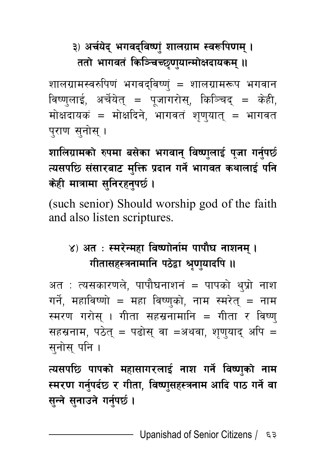# ३) अर्चयेद् भगवद्**विष्णुं शालग्राम स्वरूपि**णम् । ततो भागवतं किञ्चिच्छणयान्मोक्षदायकम् **॥**

शालग्रामस्वरुपिणं भगवद्विष्णुं = शालग्रामरूप भगवान विष्णुलाई, अर्चेयेत् = पूजागरोस्, किञ्चिद् = केही, मोक्षदायकं = मोक्षदिने, भागवतं शृण्यात् = भागवत पुराण सुनोस् ।

शालिग्रामको रुपमा बसेका भगवान् विष्णुलाई पूजा गर्नुपर्छ त्यसपछि संसारबाट मुक्ति प्रदान गर्ने भागवत कथालाई पनि **केही मात्रामा सनिरहनपर्छ।** 

(such senior) Should worship god of the faith and also listen scriptures.

# ४) अत**ः स्मरेन्महा विष्णोर्नाम पापौघ नाशनम्** । **गीतासहस्त्रनामानि पठेद्वा श्रुणुयादपि ।।**

अत $\pm$  त्यसकारणले, पापौघनाशनं = पापको थुप्रो नाश गर्ने, महाविष्णो = महा विष्णुको, नाम स्मरेतु = नाम स्मरण गरोस । गीता सहस्रनामानि = गीता र विष्ण सहस्रनाम, पठेत् = पढोस् वा =अथवा, शृण्याद् अपि = सनोस पनि ।

त्यसपछि पापको महासागरलाई नाश गर्ने विष्णको ना**म** स्मरण गर्नुपर्दछ र गीता, विष्णुसहस्त्रनाम आदि पाठ गर्ने वा **सुन्ने सुनाउने गर्नुपर्छ ।**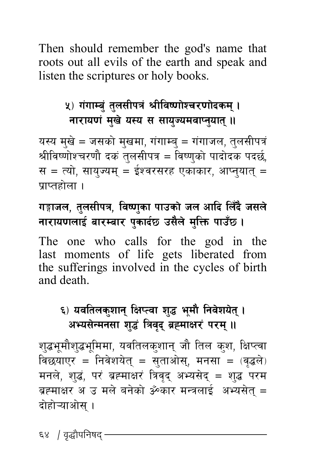Then should remember the god's name that roots out all evils of the earth and speak and listen the scriptures or holy books.

#### **५) गंगाम्बं तुलसीपत्रं श्रीविष्णोश्चरणोदकम् । नारायणं मुखे यस्य स सायुज्यमवाप्तुयात् ।।**

यस्य मुखे = जसको मुखमा, गंगाम्ब = गंगाजल, तुलसीपत्रं श्रीविष्णोश्चरणौ दकं तुलसीपत्र = विष्णुको पादोदक पदर्छ, स = त्यो, सायज्यम् = ईश्वरसरह एकाकार, आप्नयातु = प्राप्तहोला $\,$ ।

#### <u>गङ्गाजल, तु</u>लसीपत्र, विष्णुका पाउको जल आदि लिँदै जसले **नारायणलाई बारम्बार पुकार्दछ उसैले मुक्ति पाउँछ।**

The one who calls for the god in the last moments of life gets liberated from the sufferings involved in the cycles of birth and death.

#### ६) यवतिलकुशान् क्षिप्त्वा शुद्ध भूमौ निवेशयेत् । अभ्यसेन्मनसा शद्धं त्रिवद ब्रह्माक्षरं परम् ।।

श्द्धभूमौश्द्धभूमिमा, यवतिलक्शान् जौ तिल क्श, क्षिप्त्वा विछयाएर = निवेशयेत् = सुताओस्, मनसा = (वृद्धले) मनले, शुद्धं, परं ब्रह्माक्षरं त्रिवृद् अभ्यसेद् = शुद्ध परम ब्रह्माक्षर अ $\sigma$ उ मले बनेको ॐकार मन्त्रलाई अभ्यसेत $\sigma$  = दोहोऱ्याओस् ।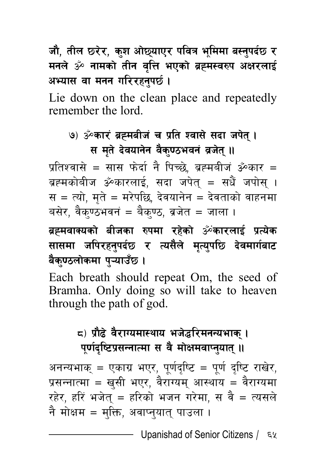जौ, तील छरेर, कुश ओछ्याएर पवित्र भूमिमा बस्तुपर्दछ र मनले ॐ नामको तीन वृत्ति भएको ब्रह्मस्वरुप अक्षरलाई अभ्यास वा मनन गरिरहनपर्छ ।

Lie down on the clean place and repeatedly remember the lord.

#### **(७) ॐकारं ब्रह्मबीजं च प्रति श्वासे सदा जपेत् । स मते देवयानेन वैक्**ण्ठभवनं व्रजेत् ॥

प्रतिश्वासे = सास फेर्दा नै पिच्छे, ब्रह्मबीज ॐकार = ब्रह्मकोबीज ॐकारलाई, सदा जपेत् = सधैं जपोस् । स = त्यो, मते = मरेपछि, देवयानेन = देवताको वाहनमा बसेर, वैक्ण्ठभवनं = बैक्ण्ठ, ब्रजेत = जाला ।

ब्रह्मवाक्यको बीजका रुपमा रहेको ॐकारलाई प्रत्येक सासमा जपिरहनुपर्दछ र त्यसैले मृत्युपछि **देवमार्गबाट** बैक्**णठलोकमा प्**न्याउँछ ।

Each breath should repeat Om, the seed of Bramha. Only doing so will take to heaven through the path of god.

### **\*\_ k|f}9] j}/fUodf:yfo eh]4l/dgGoefs\ .** पूर्णदृष्टिप्रसन्नात्मा स वै मोक्षमवाप्नुयात् ।।

अनन्यभाक् = एकाग्र भएर, पूर्णदुष्टि = पूर्ण दुष्टि राखेर, प्रसन्नात्मा = खसी भएर, वैराग्यम् आस्थाय = वैराग्यमा रहेर, हरिं भजेत = हरिको भजन गरेमा, स $a$  वै = त्यसले नै मोक्षम = मुक्ति, अवाप्नुयात् पाउला ।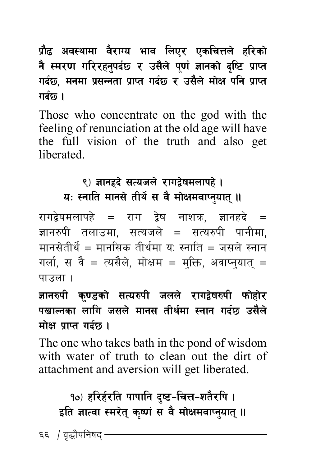**प्रौढ अवस्थामा वैराग्य भाव लिएर एकचित्तले** हरिको **g :d/0f ul//xg } kb' 5 / p; { n} k] 0f " 1fgsf { b] li6 k [ fKt | ub5, dgdf k { ;Ggtf k | fKt ub | 5 / p; { n} df ] If klg k ] fKt | गर्दछ।** 

Those who concentrate on the god with the feeling of renunciation at the old age will have the full vision of the truth and also get liberated.

# ९) ज्ञानहृदे सत्यजले रागद्वेषमलापहे ।

*घः स्*नाति मानसे तीर्थे स वै मोक्षमवाप्नुयात् ॥

रागद्वेषमलापहे = राग द्वेष नाशक, ज्ञानहदे = ज्ञानरुपी तलाउमा. सत्यजले = सत्यरुपी पानीमा. मानसेतीर्थे = मानसिक तीर्थमा य: स्नाति = जसले स्नान गर्ला, स वै = त्यसैले, मोक्षम = मक्ति, अवाप्नयात् = पाउला $\overline{\phantom{a}}$ ।

ज्ञानरुपी क्**ण्डको सत्यरुपी जलले राग**द्वेषरुपी फोहोर पखाल्नका लागि जसले मानस तीर्थमा **स्नान गर्दछ उसैले मोक्ष प्राप्त गर्दछ।** 

The one who takes bath in the pond of wisdom with water of truth to clean out the dirt of attachment and aversion will get liberated.

१०) हरिर्हरति पापानि द्ष्ट-चित्त-शतैरपि **।** इति ज्ञात्वा स्मरेत् कृष्णं स वै मोक्षमवाप्नुयात् ।।

 $\epsilon$ ६ / वृद्धौपनिषद  $\cdot$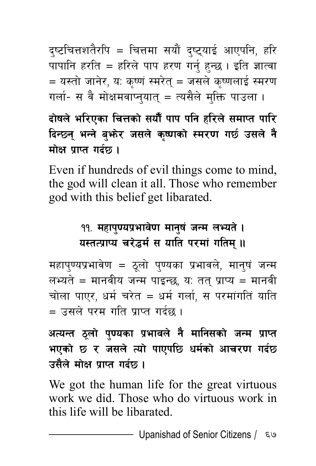दृष्टचित्तशतैरपि = चित्तमा सयौं दृष्ट्याई आएपनि, हरि पापानि हरति = हरिले पाप हरण गर्न् हुन्छ । इति ज्ञात्वा = यस्तो जानेर, य: कृष्णं स्मरेत् = जसले कृष्णलाई स्मरण गर्ला- स वै मोक्षमवाप्नुयात् = त्यसैले मुक्ति पाउला ।

दोषले भरिएका चित्तको सयौँ पाप पनि हरिले समाप्त पारि दिन्छन् भन्ने बुभ्रेर जसले कृष्णको स्मरण गर्छ उसले नै मोक्ष पाप्त गर्दछ।

Even if hundreds of evil things come to mind, the god will clean it all. Those who remember god with this belief get libarated.

#### ११. महापुण्यप्रभावेण मानुषं जन्म लभ्यते । यस्तत्प्राप्य चरेद्धर्मं स याति परमां गतिम् ॥

महापुण्यप्रभावेण = ठुलो पुण्यका प्रभावले, मानुषं जन्म लभ्यते = मानवीय जन्म पाइन्छ, य: तत् प्राप्य = मानवी चोला पाएर, धर्म चरेत = धर्म गर्ला, स परमांगतिं याति = उसले परम गति पाप्त गर्दछ ।

अत्यन्त ठूलो पुण्यका प्रभावले नै मानिसको जन्म प्राप्त भएको छ र जसले त्यो पाएपछि धर्मको आचरण गर्दछ उसैले मोक्ष प्राप्त गर्दछ ।

We got the human life for the great virtuous work we did. Those who do virtuous work in this life will be libarated